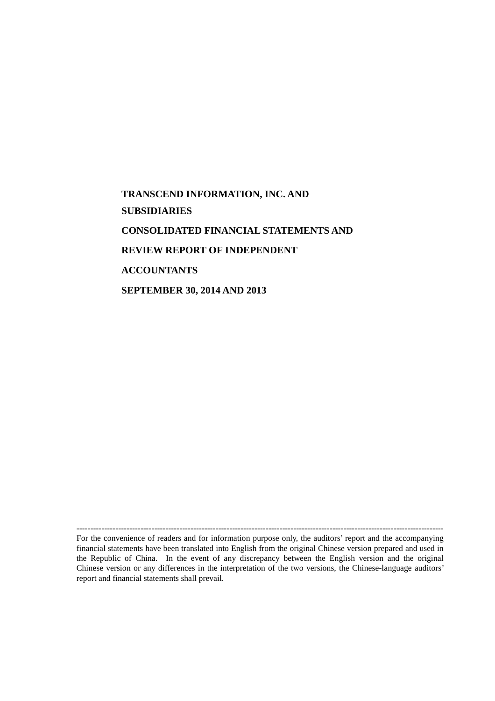**TRANSCEND INFORMATION, INC. AND SUBSIDIARIES CONSOLIDATED FINANCIAL STATEMENTS AND REVIEW REPORT OF INDEPENDENT ACCOUNTANTS SEPTEMBER 30, 2014 AND 2013**

------------------------------------------------------------------------------------------------------------------------------------

For the convenience of readers and for information purpose only, the auditors' report and the accompanying financial statements have been translated into English from the original Chinese version prepared and used in the Republic of China. In the event of any discrepancy between the English version and the original Chinese version or any differences in the interpretation of the two versions, the Chinese-language auditors' report and financial statements shall prevail.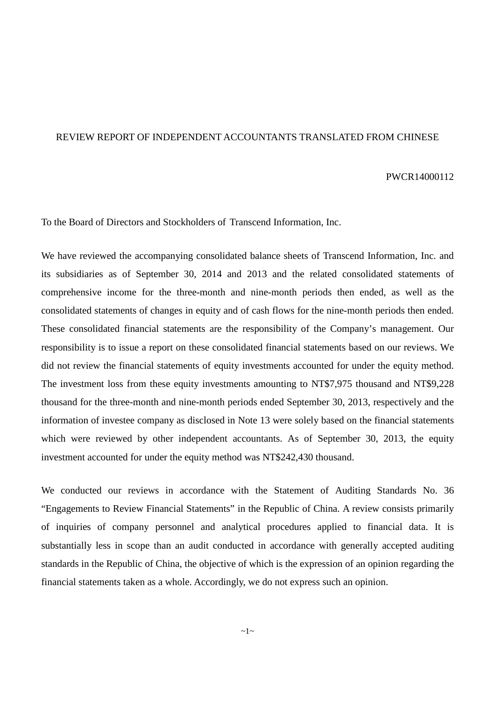### REVIEW REPORT OF INDEPENDENT ACCOUNTANTS TRANSLATED FROM CHINESE

### PWCR14000112

To the Board of Directors and Stockholders of Transcend Information, Inc.

We have reviewed the accompanying consolidated balance sheets of Transcend Information, Inc. and its subsidiaries as of September 30, 2014 and 2013 and the related consolidated statements of comprehensive income for the three-month and nine-month periods then ended, as well as the consolidated statements of changes in equity and of cash flows for the nine-month periods then ended. These consolidated financial statements are the responsibility of the Company's management. Our responsibility is to issue a report on these consolidated financial statements based on our reviews. We did not review the financial statements of equity investments accounted for under the equity method. The investment loss from these equity investments amounting to NT\$7,975 thousand and NT\$9,228 thousand for the three-month and nine-month periods ended September 30, 2013, respectively and the information of investee company as disclosed in Note 13 were solely based on the financial statements which were reviewed by other independent accountants. As of September 30, 2013, the equity investment accounted for under the equity method was NT\$242,430 thousand.

We conducted our reviews in accordance with the Statement of Auditing Standards No. 36 "Engagements to Review Financial Statements" in the Republic of China. A review consists primarily of inquiries of company personnel and analytical procedures applied to financial data. It is substantially less in scope than an audit conducted in accordance with generally accepted auditing standards in the Republic of China, the objective of which is the expression of an opinion regarding the financial statements taken as a whole. Accordingly, we do not express such an opinion.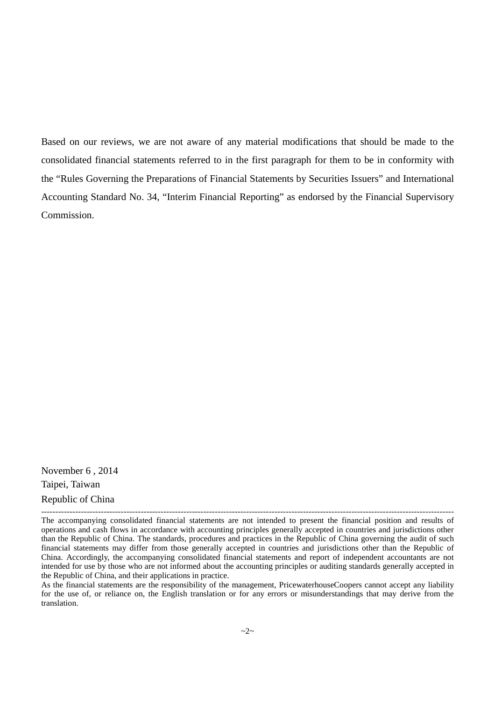Based on our reviews, we are not aware of any material modifications that should be made to the consolidated financial statements referred to in the first paragraph for them to be in conformity with the "Rules Governing the Preparations of Financial Statements by Securities Issuers" and International Accounting Standard No. 34, "Interim Financial Reporting" as endorsed by the Financial Supervisory Commission.

November 6 , 2014 Taipei, Taiwan Republic of China

-------------------------------------------------------------------------------------------------------------------------------------------------

As the financial statements are the responsibility of the management, PricewaterhouseCoopers cannot accept any liability for the use of, or reliance on, the English translation or for any errors or misunderstandings that may derive from the translation.

The accompanying consolidated financial statements are not intended to present the financial position and results of operations and cash flows in accordance with accounting principles generally accepted in countries and jurisdictions other than the Republic of China. The standards, procedures and practices in the Republic of China governing the audit of such financial statements may differ from those generally accepted in countries and jurisdictions other than the Republic of China. Accordingly, the accompanying consolidated financial statements and report of independent accountants are not intended for use by those who are not informed about the accounting principles or auditing standards generally accepted in the Republic of China, and their applications in practice.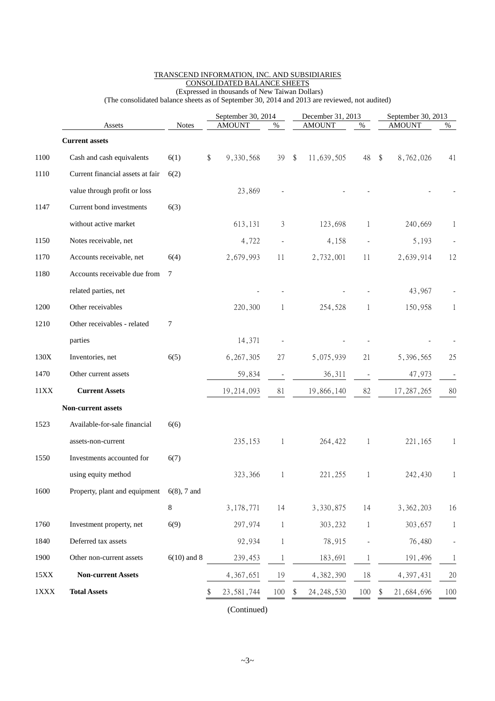|             |                                  |                | September 30, 2014 |              |    | December 31, 2013 |              | September 30, 2013 |      |  |
|-------------|----------------------------------|----------------|--------------------|--------------|----|-------------------|--------------|--------------------|------|--|
|             | Assets                           | <b>Notes</b>   | <b>AMOUNT</b>      | $\%$         |    | <b>AMOUNT</b>     | $\%$         | <b>AMOUNT</b>      | $\%$ |  |
|             | <b>Current assets</b>            |                |                    |              |    |                   |              |                    |      |  |
| 1100        | Cash and cash equivalents        | 6(1)           | \$<br>9,330,568    | 39           | \$ | 11,639,505        | 48           | \$<br>8,762,026    | 41   |  |
| 1110        | Current financial assets at fair | 6(2)           |                    |              |    |                   |              |                    |      |  |
|             | value through profit or loss     |                | 23,869             |              |    |                   |              |                    |      |  |
| 1147        | Current bond investments         | 6(3)           |                    |              |    |                   |              |                    |      |  |
|             | without active market            |                | 613,131            | 3            |    | 123,698           | 1            | 240,669            | 1    |  |
| 1150        | Notes receivable, net            |                | 4,722              |              |    | 4,158             |              | 5,193              |      |  |
| 1170        | Accounts receivable, net         | 6(4)           | 2,679,993          | 11           |    | 2,732,001         | 11           | 2,639,914          | 12   |  |
| 1180        | Accounts receivable due from     | $\tau$         |                    |              |    |                   |              |                    |      |  |
|             | related parties, net             |                |                    |              |    |                   |              | 43,967             |      |  |
| 1200        | Other receivables                |                | 220,300            | 1            |    | 254,528           | $\mathbf{1}$ | 150,958            | 1    |  |
| 1210        | Other receivables - related      | 7              |                    |              |    |                   |              |                    |      |  |
|             | parties                          |                | 14,371             |              |    |                   |              |                    |      |  |
| 130X        | Inventories, net                 | 6(5)           | 6, 267, 305        | 27           |    | 5,075,939         | 21           | 5,396,565          | 25   |  |
| 1470        | Other current assets             |                | 59,834             |              |    | 36,311            |              | 47,973             |      |  |
| 11XX        | <b>Current Assets</b>            |                | 19,214,093         | 81           |    | 19,866,140        | 82           | 17, 287, 265       | 80   |  |
|             | Non-current assets               |                |                    |              |    |                   |              |                    |      |  |
| 1523        | Available-for-sale financial     | 6(6)           |                    |              |    |                   |              |                    |      |  |
|             | assets-non-current               |                | 235,153            | 1            |    | 264,422           | $\mathbf 1$  | 221,165            | 1    |  |
| 1550        | Investments accounted for        | 6(7)           |                    |              |    |                   |              |                    |      |  |
|             | using equity method              |                | 323,366            |              |    | 221, 255          |              | 242,430            |      |  |
| 1600        | Property, plant and equipment    | $6(8)$ , 7 and |                    |              |    |                   |              |                    |      |  |
|             |                                  | 8              | 3,178,771          | 14           |    | 3,330,875         | 14           | 3,362,203          | 16   |  |
| 1760        | Investment property, net         | 6(9)           | 297,974            | -1           |    | 303,232           | 1            | 303,657            | 1    |  |
| 1840        | Deferred tax assets              |                | 92,934             | 1            |    | 78,915            |              | 76,480             |      |  |
| 1900        | Other non-current assets         | $6(10)$ and 8  | 239,453            | $\mathbf{1}$ |    | 183,691           | 1            | 191,496            | 1    |  |
| $15XX$      | <b>Non-current Assets</b>        |                | 4, 367, 651        | 19           |    | 4,382,390         | 18           | 4, 397, 431        | 20   |  |
| $1\rm{XXX}$ | <b>Total Assets</b>              |                | 23, 581, 744       | 100          |    | 24, 248, 530      | 100          | 21,684,696<br>\$   | 100  |  |

#### TRANSCEND INFORMATION, INC. AND SUBSIDIARIES CONSOLIDATED BALANCE SHEETS (Expressed in thousands of New Taiwan Dollars)

(The consolidated balance sheets as of September 30, 2014 and 2013 are reviewed, not audited)

(Continued)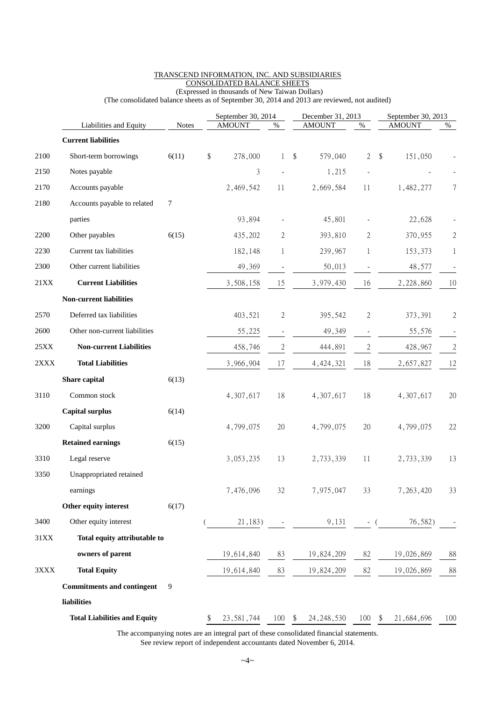|             |                                     | September 30, 2014 |    |               |                          |                         | December 31, 2013 | September 30, 2013       |                                    |                |
|-------------|-------------------------------------|--------------------|----|---------------|--------------------------|-------------------------|-------------------|--------------------------|------------------------------------|----------------|
|             | Liabilities and Equity              | <b>Notes</b>       |    | <b>AMOUNT</b> | $\%$                     |                         | <b>AMOUNT</b>     | $\%$                     | <b>AMOUNT</b>                      | $\%$           |
|             | <b>Current liabilities</b>          |                    |    |               |                          |                         |                   |                          |                                    |                |
| 2100        | Short-term borrowings               | 6(11)              | \$ | 278,000       | $\mathbf{1}$             | $\sqrt[6]{\frac{1}{2}}$ | 579,040           | $\overline{2}$           | $\sqrt[6]{\frac{1}{2}}$<br>151,050 |                |
| 2150        | Notes payable                       |                    |    | 3             |                          |                         | 1,215             |                          |                                    |                |
| 2170        | Accounts payable                    |                    |    | 2,469,542     | 11                       |                         | 2,669,584         | 11                       | 1,482,277                          | 7              |
| 2180        | Accounts payable to related         | 7                  |    |               |                          |                         |                   |                          |                                    |                |
|             | parties                             |                    |    | 93,894        |                          |                         | 45,801            |                          | 22,628                             |                |
| 2200        | Other payables                      | 6(15)              |    | 435,202       | 2                        |                         | 393,810           | 2                        | 370,955                            | $\mathbf{2}$   |
| 2230        | Current tax liabilities             |                    |    | 182,148       | 1                        |                         | 239,967           | 1                        | 153,373                            | 1              |
| 2300        | Other current liabilities           |                    |    | 49,369        |                          |                         | 50,013            |                          | 48,577                             |                |
| 21XX        | <b>Current Liabilities</b>          |                    |    | 3,508,158     | 15                       |                         | 3,979,430         | 16                       | 2,228,860                          | 10             |
|             | <b>Non-current liabilities</b>      |                    |    |               |                          |                         |                   |                          |                                    |                |
| 2570        | Deferred tax liabilities            |                    |    | 403,521       | $\mathbf{2}$             |                         | 395,542           | 2                        | 373,391                            | $\overline{2}$ |
| 2600        | Other non-current liabilities       |                    |    | 55,225        | $\overline{\phantom{a}}$ |                         | 49,349            | $\overline{\phantom{a}}$ | 55,576                             |                |
| 25XX        | <b>Non-current Liabilities</b>      |                    |    | 458,746       | $\overline{c}$           |                         | 444,891           | $\mathbf{2}$             | 428,967                            | $\mathfrak{2}$ |
| 2XXX        | <b>Total Liabilities</b>            |                    |    | 3,966,904     | 17                       |                         | 4, 424, 321       | 18                       | 2,657,827                          | 12             |
|             | Share capital                       | 6(13)              |    |               |                          |                         |                   |                          |                                    |                |
| 3110        | Common stock                        |                    |    | 4,307,617     | 18                       |                         | 4,307,617         | 18                       | 4,307,617                          | 20             |
|             | <b>Capital surplus</b>              | 6(14)              |    |               |                          |                         |                   |                          |                                    |                |
| 3200        | Capital surplus                     |                    |    | 4,799,075     | $20\,$                   |                         | 4,799,075         | 20                       | 4,799,075                          | 22             |
|             | <b>Retained earnings</b>            | 6(15)              |    |               |                          |                         |                   |                          |                                    |                |
| 3310        | Legal reserve                       |                    |    | 3,053,235     | 13                       |                         | 2,733,339         | 11                       | 2,733,339                          | 13             |
| 3350        | Unappropriated retained             |                    |    |               |                          |                         |                   |                          |                                    |                |
|             | earnings                            |                    |    | 7,476,096     | 32                       |                         | 7,975,047         | 33                       | 7,263,420                          | 33             |
|             | Other equity interest               | 6(17)              |    |               |                          |                         |                   |                          |                                    |                |
| 3400        | Other equity interest               |                    |    | 21,183)       |                          |                         | 9,131             | - (                      | 76,582)                            |                |
| $31\rm{XX}$ | Total equity attributable to        |                    |    |               |                          |                         |                   |                          |                                    |                |
|             | owners of parent                    |                    |    | 19,614,840    | 83                       |                         | 19,824,209        | 82                       | 19,026,869                         | 88             |
| 3XXX        | <b>Total Equity</b>                 |                    |    | 19,614,840    | 83                       |                         | 19,824,209        | 82                       | 19,026,869                         | 88             |
|             | <b>Commitments and contingent</b>   | 9                  |    |               |                          |                         |                   |                          |                                    |                |
|             | liabilities                         |                    |    |               |                          |                         |                   |                          |                                    |                |
|             | <b>Total Liabilities and Equity</b> |                    |    | 23, 581, 744  | 100                      | \$                      | 24, 248, 530      | 100                      | 21,684,696<br>\$                   | 100            |

### TRANSCEND INFORMATION, INC. AND SUBSIDIARIES CONSOLIDATED BALANCE SHEETS (Expressed in thousands of New Taiwan Dollars)

(The consolidated balance sheets as of September 30, 2014 and 2013 are reviewed, not audited)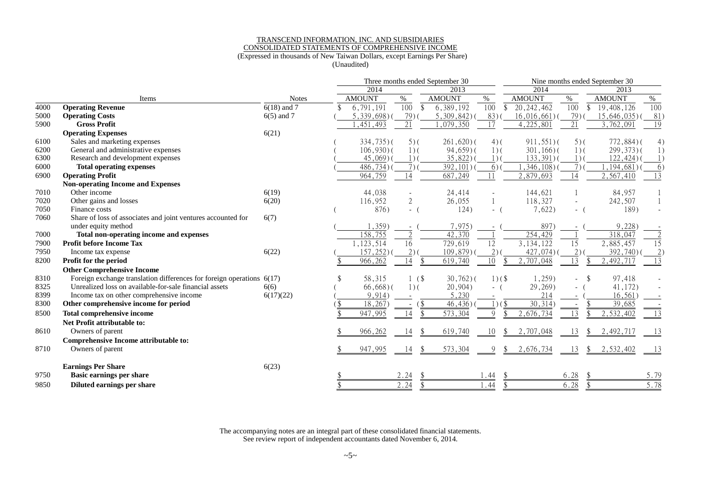### TRANSCEND INFORMATION, INC. AND SUBSIDIARIES CONSOLIDATED STATEMENTS OF COMPREHENSIVE INCOME (Expressed in thousands of New Taiwan Dollars, except Earnings Per Share)

(Unaudited)

|      |                                                                         |               |  | Three months ended September 30 |                                  | Nine months ended September 30 |                  |                        |                                  |                 |                 |
|------|-------------------------------------------------------------------------|---------------|--|---------------------------------|----------------------------------|--------------------------------|------------------|------------------------|----------------------------------|-----------------|-----------------|
|      |                                                                         |               |  | 2014                            |                                  | 2013                           |                  | 2014                   |                                  | 2013            |                 |
|      | Items                                                                   | <b>Notes</b>  |  | <b>AMOUNT</b>                   | $\%$                             | <b>AMOUNT</b>                  | %                | <b>AMOUNT</b>          | $\%$                             | <b>AMOUNT</b>   | %               |
| 4000 | <b>Operating Revenue</b>                                                | $6(18)$ and 7 |  | 6,791,191                       | $\overline{100}$<br>$\mathbb{S}$ | 6,389,192                      | $\overline{100}$ | 20, 242, 462           | $\overline{100}$<br>$\mathbb{S}$ | 19,408,126      | 100             |
| 5000 | <b>Operating Costs</b>                                                  | $6(5)$ and 7  |  | $5,339,698$ )(                  | 79)                              | $5,309,842$ )(                 | 83)              | 16,016,661)            | 79)                              | $15,646,035$ )( | 81)             |
| 5900 | <b>Gross Profit</b>                                                     |               |  | , 451, 493                      | 21                               | 1,079,350                      | 17               | 4,225,801              | 21                               | 3,762,091       | $\overline{19}$ |
|      | <b>Operating Expenses</b>                                               | 6(21)         |  |                                 |                                  |                                |                  |                        |                                  |                 |                 |
| 6100 | Sales and marketing expenses                                            |               |  | $334,735$ )(                    | $5)$ (                           | $261,620$ )(                   | $4)$ (           | $911,551$ )(           | $5)$ (                           | $772,884$ $($   | 4)              |
| 6200 | General and administrative expenses                                     |               |  | $106,930$ $($                   | $1)$ (                           | $94,659$ )(                    | $1)$ (           | $301, 166$ )(          | $1)$ (                           | $299,373$ )(    | 1)              |
| 6300 | Research and development expenses                                       |               |  | $45,069$ )                      | $1)$ (                           | 35,822)                        | $1)$ (           | $133,391)$ (           | $1)$ (                           | $122,424$ )(    |                 |
| 6000 | <b>Total operating expenses</b>                                         |               |  | $486,734$ )(                    | $7)$ (                           | 392, 101)                      | $6)$ (           | ,346,108)              | 7 <sub>0</sub>                   | ,194,681)       | 6)              |
| 6900 | <b>Operating Profit</b>                                                 |               |  | 964,759                         | 14                               | 687,249                        | 11               | 2,879,693              | 14                               | 2,567,410       | $\overline{13}$ |
|      | <b>Non-operating Income and Expenses</b>                                |               |  |                                 |                                  |                                |                  |                        |                                  |                 |                 |
| 7010 | Other income                                                            | 6(19)         |  | 44,038                          |                                  | 24,414                         |                  | 144,621                |                                  | 84,957          |                 |
| 7020 | Other gains and losses                                                  | 6(20)         |  | 116,952                         | 2                                | 26,055                         |                  | 118,327                |                                  | 242,507         |                 |
| 7050 | Finance costs                                                           |               |  | 876)                            | $-$ (                            | 124)                           | $\sim$ $-$       | 7,622)                 | $-$ (                            | 189)            |                 |
| 7060 | Share of loss of associates and joint ventures accounted for            | 6(7)          |  |                                 |                                  |                                |                  |                        |                                  |                 |                 |
|      | under equity method                                                     |               |  | 1,359)                          |                                  | 7,975)                         |                  | 897)                   |                                  | 9,228)          |                 |
| 7000 | Total non-operating income and expenses                                 |               |  | 158,755                         | ി                                | 42,370                         |                  | 254,429                |                                  | 318,047         |                 |
| 7900 | <b>Profit before Income Tax</b>                                         |               |  | 1,123,514                       | $\overline{16}$                  | 729,619                        | $\overline{12}$  | 3,134,122              | 15                               | 2,885,457       | $\overline{15}$ |
| 7950 | Income tax expense                                                      | 6(22)         |  | 157,252)                        | 2)                               | 109,879)                       | 2)               | 427,074)               | 2)                               | 392,740)        | 2 <sup>1</sup>  |
| 8200 | Profit for the period                                                   |               |  | 966,262                         | 14                               | 619,740                        | 10               | 2,707,048              | 13                               | , 492, 717      | 13              |
|      | <b>Other Comprehensive Income</b>                                       |               |  |                                 |                                  |                                |                  |                        |                                  |                 |                 |
| 8310 | Foreign exchange translation differences for foreign operations $6(17)$ |               |  | 58,315                          | 1(                               | $30,762$ )(                    | $1)(\$           | 1,259)                 |                                  | 97,418          |                 |
| 8325 | Unrealized loss on available-for-sale financial assets                  | 6(6)          |  | $66,668$ )(                     | $1)$ (                           | 20,904)                        |                  | 29,269)                |                                  | 41,172)         |                 |
| 8399 | Income tax on other comprehensive income                                | 6(17)(22)     |  | 9,914)                          |                                  | 5,230                          |                  | 214                    |                                  | 16,561)         |                 |
| 8300 | Other comprehensive income for period                                   |               |  | 18,267                          | (<br>$\overline{\phantom{a}}$    | 46,436                         | $1)(\$           | 30,314)                |                                  | 39,685          |                 |
| 8500 | <b>Total comprehensive income</b>                                       |               |  | 947,995                         | 14                               | 573,304                        | 9                | $\overline{2,676,734}$ | 13                               | 2,532,402       | 13              |
|      | Net Profit attributable to:                                             |               |  |                                 |                                  |                                |                  |                        |                                  |                 |                 |
| 8610 | Owners of parent                                                        |               |  | 966,262                         | 14                               | 619,740                        | 10               | 2,707,048              | 13                               | 2,492,717       | -13             |
|      | Comprehensive Income attributable to:                                   |               |  |                                 |                                  |                                |                  |                        |                                  |                 |                 |
| 8710 | Owners of parent                                                        |               |  | 947,995                         | 14<br>\$                         | 573,304                        | 9<br>\$          | 2,676,734              | 13<br>\$                         | 2,532,402       |                 |
|      | <b>Earnings Per Share</b>                                               | 6(23)         |  |                                 |                                  |                                |                  |                        |                                  |                 |                 |
| 9750 | <b>Basic earnings per share</b>                                         |               |  |                                 | 2.24                             |                                | l . 44           |                        | 6.28                             |                 | 5.79            |
| 9850 | Diluted earnings per share                                              |               |  |                                 | 2.24<br>$\mathcal{S}$            |                                | \$<br>1.44       |                        | 6.28<br>$\mathcal{S}$            |                 | 5.78            |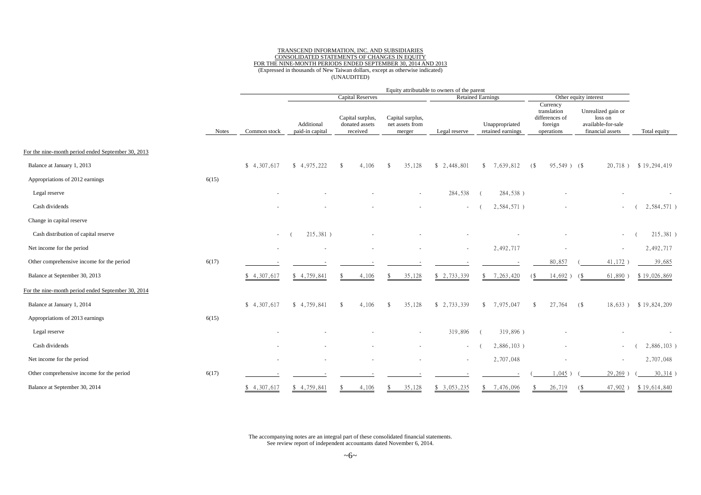### TRANSCEND INFORMATION, INC. AND SUBSIDIARIES CONSOLIDATED STATEMENTS OF CHANGES IN EQUITY FOR THE NINE-MONTH PERIODS ENDED SEPTEMBER 30, 2014 AND 2013 (Expressed in thousands of New Taiwan dollars, except as otherwise indicated) (UNAUDITED)

|                                                    |              | Equity attributable to owners of the parent |                               |                                                |                                               |               |                                     |                                                                    |                                                                         |               |
|----------------------------------------------------|--------------|---------------------------------------------|-------------------------------|------------------------------------------------|-----------------------------------------------|---------------|-------------------------------------|--------------------------------------------------------------------|-------------------------------------------------------------------------|---------------|
|                                                    |              |                                             |                               | <b>Capital Reserves</b>                        |                                               |               | <b>Retained Earnings</b>            |                                                                    | Other equity interest                                                   |               |
|                                                    | <b>Notes</b> | Common stock                                | Additional<br>paid-in capital | Capital surplus,<br>donated assets<br>received | Capital surplus,<br>net assets from<br>merger | Legal reserve | Unappropriated<br>retained earnings | Currency<br>translation<br>differences of<br>foreign<br>operations | Unrealized gain or<br>loss on<br>available-for-sale<br>financial assets | Total equity  |
|                                                    |              |                                             |                               |                                                |                                               |               |                                     |                                                                    |                                                                         |               |
| For the nine-month period ended September 30, 2013 |              |                                             |                               |                                                |                                               |               |                                     |                                                                    |                                                                         |               |
| Balance at January 1, 2013                         |              | \$4,307,617                                 | \$4,975,222                   | $\mathbf{\hat{s}}$<br>4,106                    | 35,128<br>-\$                                 | \$2,448,801   | \$7,639,812                         | 95,549) (\$<br>(                                                   | 20,718)                                                                 | \$19,294,419  |
| Appropriations of 2012 earnings                    | 6(15)        |                                             |                               |                                                |                                               |               |                                     |                                                                    |                                                                         |               |
| Legal reserve                                      |              |                                             |                               |                                                | $\overline{\phantom{a}}$                      | 284,538       | 284,538)                            |                                                                    |                                                                         |               |
| Cash dividends                                     |              |                                             |                               |                                                |                                               |               | 2,584,571)                          |                                                                    |                                                                         | 2,584,571)    |
| Change in capital reserve                          |              |                                             |                               |                                                |                                               |               |                                     |                                                                    |                                                                         |               |
| Cash distribution of capital reserve               |              | $\sim$                                      | 215,381)                      |                                                |                                               |               |                                     |                                                                    | $\sim$                                                                  | 215,381)      |
| Net income for the period                          |              |                                             |                               |                                                |                                               |               | 2,492,717                           |                                                                    | $\sim$                                                                  | 2,492,717     |
| Other comprehensive income for the period          | 6(17)        |                                             |                               |                                                |                                               |               |                                     | 80,857                                                             | 41,172                                                                  | 39,685        |
| Balance at September 30, 2013                      |              | \$4,307,617                                 | \$4,759,841                   | 4,106                                          | 35,128<br>-8                                  | \$2,733,339   | \$7,263,420                         | $14,692$ )<br>68                                                   | 61,890<br>(S                                                            | \$19,026,869  |
| For the nine-month period ended September 30, 2014 |              |                                             |                               |                                                |                                               |               |                                     |                                                                    |                                                                         |               |
| Balance at January 1, 2014                         |              | \$4,307,617                                 | \$4,759,841                   | 4,106<br>-\$                                   | 35,128<br>$\mathbf{\hat{S}}$                  | \$2,733,339   | \$7,975,047                         | 27,764<br>-\$                                                      | (<br>18,633)                                                            | \$19,824,209  |
| Appropriations of 2013 earnings                    | 6(15)        |                                             |                               |                                                |                                               |               |                                     |                                                                    |                                                                         |               |
| Legal reserve                                      |              |                                             |                               |                                                |                                               | 319,896       | 319,896)                            |                                                                    |                                                                         |               |
| Cash dividends                                     |              |                                             |                               |                                                |                                               | $\sim$        | $2,886,103$ )                       |                                                                    | $\sim$                                                                  | $2,886,103$ ) |
| Net income for the period                          |              |                                             |                               |                                                |                                               | $\sim$        | 2,707,048                           |                                                                    | $\sim$                                                                  | 2,707,048     |
| Other comprehensive income for the period          | 6(17)        |                                             |                               |                                                |                                               |               |                                     | 1,045                                                              | 29,269                                                                  | $30,314$ )    |
| Balance at September 30, 2014                      |              | \$4,307,617                                 | \$4,759,841                   | 4,106                                          | 35,128<br>-S                                  | \$3,053,235   | \$7,476,096                         | 26,719                                                             | 47,902<br>$\left( \frac{1}{2} \right)$                                  | \$19,614,840  |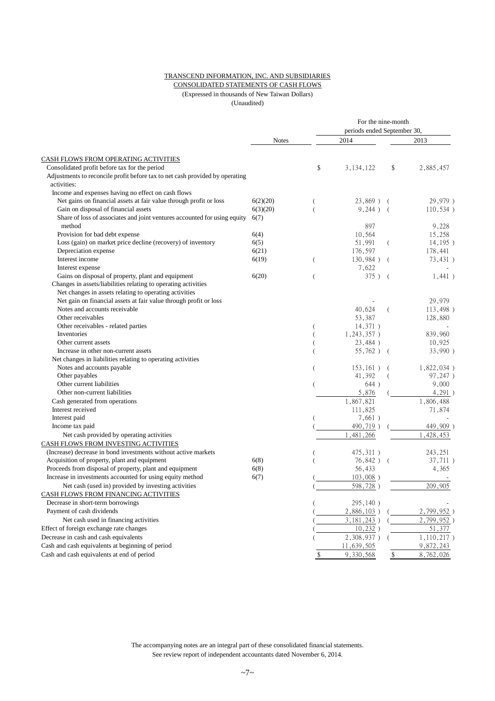### TRANSCEND INFORMATION, INC. AND SUBSIDIARIES

### CONSOLIDATED STATEMENTS OF CASH FLOWS (Expressed in thousands of New Taiwan Dollars)

(Unaudited)

|                                                                                             |              |    | For the nine-month          |                |               |  |  |  |
|---------------------------------------------------------------------------------------------|--------------|----|-----------------------------|----------------|---------------|--|--|--|
|                                                                                             |              |    | periods ended September 30, |                |               |  |  |  |
|                                                                                             | <b>Notes</b> |    | 2014                        |                | 2013          |  |  |  |
| CASH FLOWS FROM OPERATING ACTIVITIES                                                        |              |    |                             |                |               |  |  |  |
| Consolidated profit before tax for the period                                               |              | \$ | 3, 134, 122                 | \$             | 2,885,457     |  |  |  |
| Adjustments to reconcile profit before tax to net cash provided by operating<br>activities: |              |    |                             |                |               |  |  |  |
| Income and expenses having no effect on cash flows                                          |              |    |                             |                |               |  |  |  |
| Net gains on financial assets at fair value through profit or loss                          | 6(2)(20)     |    | 23,869)                     |                | 29,979)       |  |  |  |
| Gain on disposal of financial assets                                                        | 6(3)(20)     |    | 9,244)                      | $\sqrt{ }$     | 110,534)      |  |  |  |
| Share of loss of associates and joint ventures accounted for using equity<br>method         | 6(7)         |    | 897                         |                | 9,228         |  |  |  |
| Provision for bad debt expense                                                              | 6(4)         |    | 10,564                      |                | 15,258        |  |  |  |
| Loss (gain) on market price decline (recovery) of inventory                                 | 6(5)         |    | 51,991                      | - (            | 14, 195)      |  |  |  |
| Depreciation expense                                                                        | 6(21)        |    | 176,597                     |                | 178,441       |  |  |  |
| Interest income                                                                             | 6(19)        | (  | 130,984)                    | $\left($       | 73,431)       |  |  |  |
| Interest expense                                                                            |              |    | 7,622                       |                |               |  |  |  |
| Gains on disposal of property, plant and equipment                                          | 6(20)        |    | $375$ ) (                   |                | 1,441)        |  |  |  |
| Changes in assets/liabilities relating to operating activities                              |              |    |                             |                |               |  |  |  |
| Net changes in assets relating to operating activities                                      |              |    |                             |                |               |  |  |  |
| Net gain on financial assets at fair value through profit or loss                           |              |    |                             |                | 29,979        |  |  |  |
| Notes and accounts receivable                                                               |              |    | 40,624                      | $\overline{ }$ | 113,498)      |  |  |  |
| Other receivables                                                                           |              |    | 53,387                      |                | 128,880       |  |  |  |
| Other receivables - related parties                                                         |              |    | 14,371)                     |                |               |  |  |  |
| Inventories                                                                                 |              |    | 1,243,357)                  |                | 839,960       |  |  |  |
| Other current assets                                                                        |              |    | 23,484)                     |                | 10,925        |  |  |  |
| Increase in other non-current assets                                                        |              |    | 55,762)                     | $\sqrt{2}$     | 33,990)       |  |  |  |
| Net changes in liabilities relating to operating activities                                 |              |    |                             |                |               |  |  |  |
| Notes and accounts payable                                                                  |              | (  | $153, 161$ )                |                | $1,822,034$ ) |  |  |  |
| Other payables                                                                              |              |    | 41,392                      |                | 97,247)       |  |  |  |
| Other current liabilities                                                                   |              |    | 644)                        |                | 9,000         |  |  |  |
| Other non-current liabilities                                                               |              |    | 5,876                       |                | 4,291)        |  |  |  |
| Cash generated from operations                                                              |              |    | 1,867,821                   |                | 1,806,488     |  |  |  |
| Interest received                                                                           |              |    | 111,825                     |                | 71,874        |  |  |  |
| Interest paid                                                                               |              |    | 7,661)                      |                |               |  |  |  |
| Income tax paid                                                                             |              |    | 490,719)                    |                | 449,909)      |  |  |  |
| Net cash provided by operating activities                                                   |              |    | ,481,266                    |                | , 428, 453    |  |  |  |
| CASH FLOWS FROM INVESTING ACTIVITIES                                                        |              |    |                             |                |               |  |  |  |
| (Increase) decrease in bond investments without active markets                              |              |    | 475,311)                    |                | 243,251       |  |  |  |
| Acquisition of property, plant and equipment                                                | 6(8)         |    | $76,842$ )                  | $\overline{ }$ | 37,711)       |  |  |  |
| Proceeds from disposal of property, plant and equipment                                     | 6(8)         |    | 56,433                      |                | 4,365         |  |  |  |
| Increase in investments accounted for using equity method                                   | 6(7)         |    | $103,008$ )                 |                |               |  |  |  |
| Net cash (used in) provided by investing activities                                         |              |    | 598,728)                    |                | 209,905       |  |  |  |
| <u>CASH FLOWS FROM FINANCING ACTIVITIES</u>                                                 |              |    |                             |                |               |  |  |  |
| Decrease in short-term borrowings                                                           |              |    | 295,140)                    |                |               |  |  |  |
| Payment of cash dividends                                                                   |              |    | 2,886,103)                  |                | 2,799,952)    |  |  |  |
| Net cash used in financing activities                                                       |              |    | 3, 181, 243)                |                | 2,799,952)    |  |  |  |
| Effect of foreign exchange rate changes                                                     |              |    | 10,232)                     |                | 51,377        |  |  |  |
| Decrease in cash and cash equivalents                                                       |              |    | $2,308,937$ )               |                | 1,110,217)    |  |  |  |
| Cash and cash equivalents at beginning of period                                            |              |    | 11,639,505                  |                | 9,872,243     |  |  |  |
| Cash and cash equivalents at end of period                                                  |              | \$ | 9,330,568                   | $\frac{1}{2}$  | 8,762,026     |  |  |  |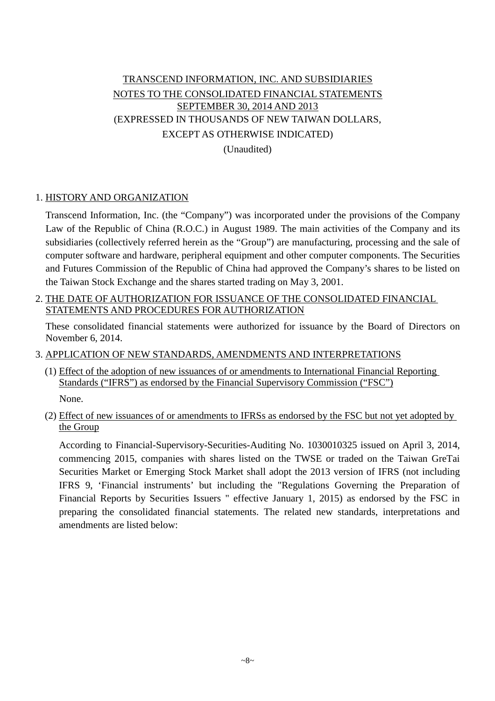# TRANSCEND INFORMATION, INC. AND SUBSIDIARIES NOTES TO THE CONSOLIDATED FINANCIAL STATEMENTS SEPTEMBER 30, 2014 AND 2013 (EXPRESSED IN THOUSANDS OF NEW TAIWAN DOLLARS, EXCEPT AS OTHERWISE INDICATED) (Unaudited)

## 1. HISTORY AND ORGANIZATION

Transcend Information, Inc. (the "Company") was incorporated under the provisions of the Company Law of the Republic of China (R.O.C.) in August 1989. The main activities of the Company and its subsidiaries (collectively referred herein as the "Group") are manufacturing, processing and the sale of computer software and hardware, peripheral equipment and other computer components. The Securities and Futures Commission of the Republic of China had approved the Company's shares to be listed on the Taiwan Stock Exchange and the shares started trading on May 3, 2001.

2. THE DATE OF AUTHORIZATION FOR ISSUANCE OF THE CONSOLIDATED FINANCIAL STATEMENTS AND PROCEDURES FOR AUTHORIZATION

These consolidated financial statements were authorized for issuance by the Board of Directors on November 6, 2014.

### 3. APPLICATION OF NEW STANDARDS, AMENDMENTS AND INTERPRETATIONS

(1) Effect of the adoption of new issuances of or amendments to International Financial Reporting Standards ("IFRS") as endorsed by the Financial Supervisory Commission ("FSC")

None.

(2) Effect of new issuances of or amendments to IFRSs as endorsed by the FSC but not yet adopted by the Group

According to Financial-Supervisory-Securities-Auditing No. 1030010325 issued on April 3, 2014, commencing 2015, companies with shares listed on the TWSE or traded on the Taiwan GreTai Securities Market or Emerging Stock Market shall adopt the 2013 version of IFRS (not including IFRS 9, 'Financial instruments' but including the "Regulations Governing the Preparation of Financial Reports by Securities Issuers " effective January 1, 2015) as endorsed by the FSC in preparing the consolidated financial statements. The related new standards, interpretations and amendments are listed below: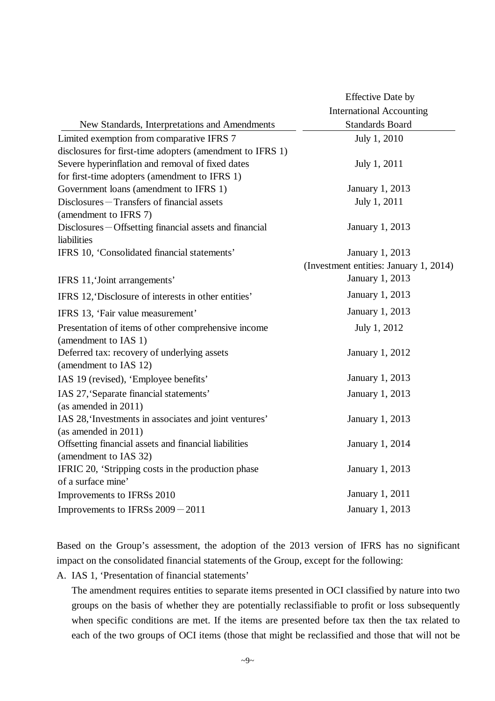|                                                           | <b>Effective Date by</b>               |
|-----------------------------------------------------------|----------------------------------------|
|                                                           | <b>International Accounting</b>        |
| New Standards, Interpretations and Amendments             | <b>Standards Board</b>                 |
| Limited exemption from comparative IFRS 7                 | July 1, 2010                           |
| disclosures for first-time adopters (amendment to IFRS 1) |                                        |
| Severe hyperinflation and removal of fixed dates          | July 1, 2011                           |
| for first-time adopters (amendment to IFRS 1)             |                                        |
| Government loans (amendment to IFRS 1)                    | January 1, 2013                        |
| Disclosures - Transfers of financial assets               | July 1, 2011                           |
| (amendment to IFRS 7)                                     |                                        |
| Disclosures – Offsetting financial assets and financial   | January 1, 2013                        |
| liabilities                                               |                                        |
| IFRS 10, 'Consolidated financial statements'              | January 1, 2013                        |
|                                                           | (Investment entities: January 1, 2014) |
| IFRS 11, 'Joint arrangements'                             | January 1, 2013                        |
| IFRS 12, Disclosure of interests in other entities'       | January 1, 2013                        |
| IFRS 13, 'Fair value measurement'                         | January 1, 2013                        |
| Presentation of items of other comprehensive income       | July 1, 2012                           |
| (amendment to IAS 1)                                      |                                        |
| Deferred tax: recovery of underlying assets               | January 1, 2012                        |
| (amendment to IAS 12)                                     |                                        |
| IAS 19 (revised), 'Employee benefits'                     | January 1, 2013                        |
| IAS 27, 'Separate financial statements'                   | January 1, 2013                        |
| (as amended in 2011)                                      |                                        |
| IAS 28, 'Investments in associates and joint ventures'    | January 1, 2013                        |
| (as amended in $2011$ )                                   |                                        |
| Offsetting financial assets and financial liabilities     | January 1, 2014                        |
| (amendment to IAS 32)                                     |                                        |
| IFRIC 20, 'Stripping costs in the production phase        | January 1, 2013                        |
| of a surface mine'                                        |                                        |
| Improvements to IFRSs 2010                                | January 1, 2011                        |
| Improvements to IFRSs 2009 - 2011                         | January 1, 2013                        |

Based on the Group's assessment, the adoption of the 2013 version of IFRS has no significant impact on the consolidated financial statements of the Group, except for the following:

A. IAS 1, 'Presentation of financial statements'

The amendment requires entities to separate items presented in OCI classified by nature into two groups on the basis of whether they are potentially reclassifiable to profit or loss subsequently when specific conditions are met. If the items are presented before tax then the tax related to each of the two groups of OCI items (those that might be reclassified and those that will not be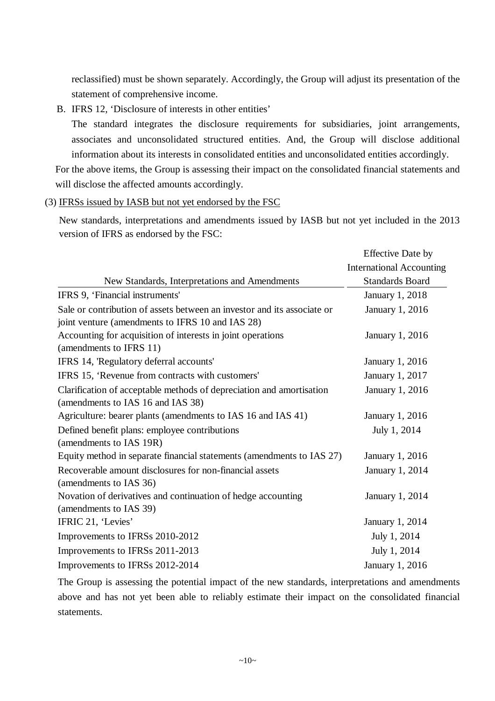reclassified) must be shown separately. Accordingly, the Group will adjust its presentation of the statement of comprehensive income.

B. IFRS 12, 'Disclosure of interests in other entities'

The standard integrates the disclosure requirements for subsidiaries, joint arrangements, associates and unconsolidated structured entities. And, the Group will disclose additional information about its interests in consolidated entities and unconsolidated entities accordingly.

For the above items, the Group is assessing their impact on the consolidated financial statements and will disclose the affected amounts accordingly.

(3) IFRSs issued by IASB but not yet endorsed by the FSC

New standards, interpretations and amendments issued by IASB but not yet included in the 2013 version of IFRS as endorsed by the FSC:

|                                                                         | <b>Effective Date by</b>        |
|-------------------------------------------------------------------------|---------------------------------|
|                                                                         | <b>International Accounting</b> |
| New Standards, Interpretations and Amendments                           | <b>Standards Board</b>          |
| IFRS 9, 'Financial instruments'                                         | January 1, 2018                 |
| Sale or contribution of assets between an investor and its associate or | January 1, 2016                 |
| joint venture (amendments to IFRS 10 and IAS 28)                        |                                 |
| Accounting for acquisition of interests in joint operations             | January 1, 2016                 |
| (amendments to IFRS 11)                                                 |                                 |
| IFRS 14, 'Regulatory deferral accounts'                                 | January 1, 2016                 |
| IFRS 15, 'Revenue from contracts with customers'                        | January 1, 2017                 |
| Clarification of acceptable methods of depreciation and amortisation    | January 1, 2016                 |
| (amendments to IAS 16 and IAS 38)                                       |                                 |
| Agriculture: bearer plants (amendments to IAS 16 and IAS 41)            | January 1, 2016                 |
| Defined benefit plans: employee contributions                           | July 1, 2014                    |
| (amendments to IAS 19R)                                                 |                                 |
| Equity method in separate financial statements (amendments to IAS 27)   | January 1, 2016                 |
| Recoverable amount disclosures for non-financial assets                 | January 1, 2014                 |
| (amendments to IAS 36)                                                  |                                 |
| Novation of derivatives and continuation of hedge accounting            | January 1, 2014                 |
| (amendments to IAS 39)                                                  |                                 |
| IFRIC 21, 'Levies'                                                      | January 1, 2014                 |
| Improvements to IFRSs 2010-2012                                         | July 1, 2014                    |
| Improvements to IFRSs 2011-2013                                         | July 1, 2014                    |
| Improvements to IFRSs 2012-2014                                         | January 1, 2016                 |

The Group is assessing the potential impact of the new standards, interpretations and amendments above and has not yet been able to reliably estimate their impact on the consolidated financial statements.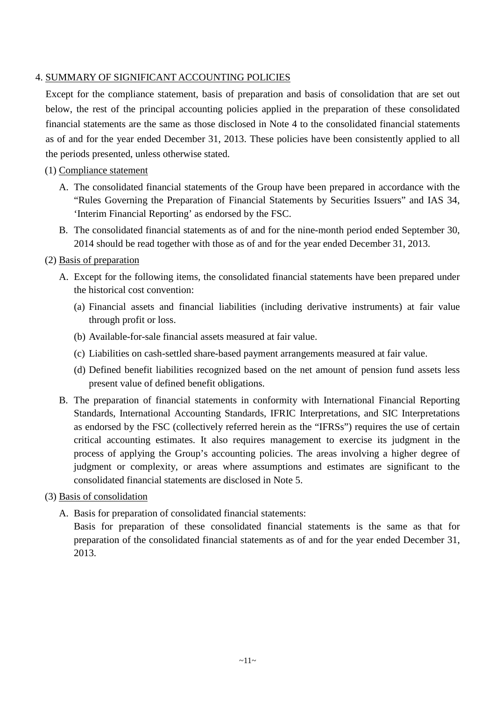## 4. SUMMARY OF SIGNIFICANT ACCOUNTING POLICIES

Except for the compliance statement, basis of preparation and basis of consolidation that are set out below, the rest of the principal accounting policies applied in the preparation of these consolidated financial statements are the same as those disclosed in Note 4 to the consolidated financial statements as of and for the year ended December 31, 2013. These policies have been consistently applied to all the periods presented, unless otherwise stated.

## (1) Compliance statement

- A. The consolidated financial statements of the Group have been prepared in accordance with the "Rules Governing the Preparation of Financial Statements by Securities Issuers" and IAS 34, 'Interim Financial Reporting' as endorsed by the FSC.
- B. The consolidated financial statements as of and for the nine-month period ended September 30, 2014 should be read together with those as of and for the year ended December 31, 2013.

## (2) Basis of preparation

- A. Except for the following items, the consolidated financial statements have been prepared under the historical cost convention:
	- (a) Financial assets and financial liabilities (including derivative instruments) at fair value through profit or loss.
	- (b) Available-for-sale financial assets measured at fair value.
	- (c) Liabilities on cash-settled share-based payment arrangements measured at fair value.
	- (d) Defined benefit liabilities recognized based on the net amount of pension fund assets less present value of defined benefit obligations.
- B. The preparation of financial statements in conformity with International Financial Reporting Standards, International Accounting Standards, IFRIC Interpretations, and SIC Interpretations as endorsed by the FSC (collectively referred herein as the "IFRSs") requires the use of certain critical accounting estimates. It also requires management to exercise its judgment in the process of applying the Group's accounting policies. The areas involving a higher degree of judgment or complexity, or areas where assumptions and estimates are significant to the consolidated financial statements are disclosed in Note 5.

## (3) Basis of consolidation

A. Basis for preparation of consolidated financial statements:

Basis for preparation of these consolidated financial statements is the same as that for preparation of the consolidated financial statements as of and for the year ended December 31, 2013.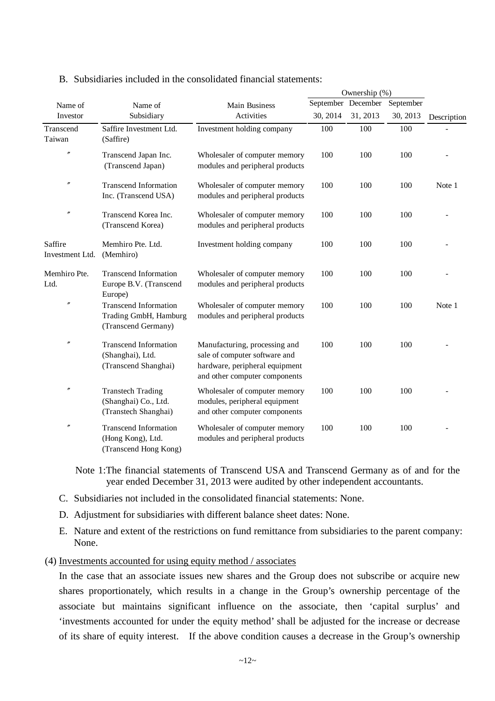|                            |                                                                              |                                                                                                                                   | Ownership (%) |                    |           |             |
|----------------------------|------------------------------------------------------------------------------|-----------------------------------------------------------------------------------------------------------------------------------|---------------|--------------------|-----------|-------------|
| Name of                    | Name of                                                                      | <b>Main Business</b>                                                                                                              |               | September December | September |             |
| Investor                   | Subsidiary                                                                   | Activities                                                                                                                        | 30, 2014      | 31, 2013           | 30, 2013  | Description |
| Transcend<br>Taiwan        | Saffire Investment Ltd.<br>(Saffire)                                         | Investment holding company                                                                                                        | 100           | 100                | 100       |             |
| $\prime\prime$             | Transcend Japan Inc.<br>(Transcend Japan)                                    | Wholesaler of computer memory<br>modules and peripheral products                                                                  | 100           | 100                | 100       |             |
| $\prime\prime$             | <b>Transcend Information</b><br>Inc. (Transcend USA)                         | Wholesaler of computer memory<br>modules and peripheral products                                                                  | 100           | 100                | 100       | Note 1      |
| $\prime\prime$             | Transcend Korea Inc.<br>(Transcend Korea)                                    | Wholesaler of computer memory<br>modules and peripheral products                                                                  | 100           | 100                | 100       |             |
| Saffire<br>Investment Ltd. | Memhiro Pte. Ltd.<br>(Memhiro)                                               | Investment holding company                                                                                                        | 100           | 100                | 100       |             |
| Memhiro Pte.<br>Ltd.       | <b>Transcend Information</b><br>Europe B.V. (Transcend<br>Europe)            | Wholesaler of computer memory<br>modules and peripheral products                                                                  | 100           | 100                | 100       |             |
| $^{\prime\prime}$          | <b>Transcend Information</b><br>Trading GmbH, Hamburg<br>(Transcend Germany) | Wholesaler of computer memory<br>modules and peripheral products                                                                  | 100           | 100                | 100       | Note 1      |
| $\prime\prime$             | <b>Transcend Information</b><br>(Shanghai), Ltd.<br>(Transcend Shanghai)     | Manufacturing, processing and<br>sale of computer software and<br>hardware, peripheral equipment<br>and other computer components | 100           | 100                | 100       |             |
| $\prime\prime$             | <b>Transtech Trading</b><br>(Shanghai) Co., Ltd.<br>(Transtech Shanghai)     | Wholesaler of computer memory<br>modules, peripheral equipment<br>and other computer components                                   | 100           | 100                | 100       |             |
| $\prime\prime$             | <b>Transcend Information</b><br>(Hong Kong), Ltd.<br>(Transcend Hong Kong)   | Wholesaler of computer memory<br>modules and peripheral products                                                                  | 100           | 100                | 100       |             |

### B. Subsidiaries included in the consolidated financial statements:

Note 1:The financial statements of Transcend USA and Transcend Germany as of and for the year ended December 31, 2013 were audited by other independent accountants.

- C. Subsidiaries not included in the consolidated financial statements: None.
- D. Adjustment for subsidiaries with different balance sheet dates: None.
- E. Nature and extent of the restrictions on fund remittance from subsidiaries to the parent company: None.

### (4) Investments accounted for using equity method / associates

In the case that an associate issues new shares and the Group does not subscribe or acquire new shares proportionately, which results in a change in the Group's ownership percentage of the associate but maintains significant influence on the associate, then 'capital surplus' and 'investments accounted for under the equity method' shall be adjusted for the increase or decrease of its share of equity interest. If the above condition causes a decrease in the Group's ownership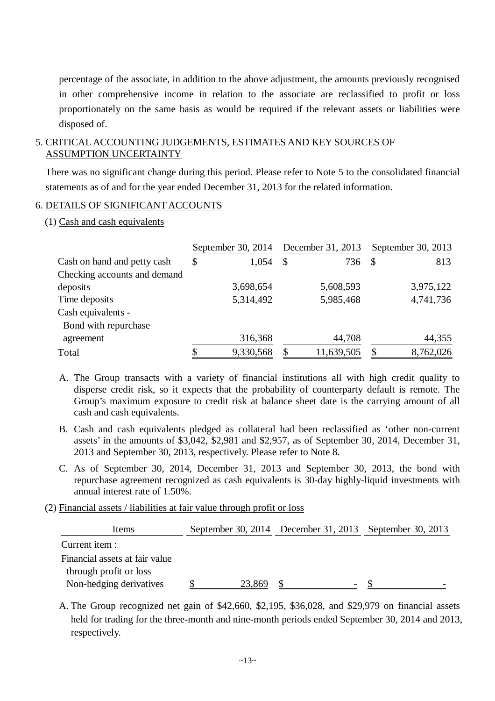percentage of the associate, in addition to the above adjustment, the amounts previously recognised in other comprehensive income in relation to the associate are reclassified to profit or loss proportionately on the same basis as would be required if the relevant assets or liabilities were disposed of.

### 5. CRITICAL ACCOUNTING JUDGEMENTS, ESTIMATES AND KEY SOURCES OF ASSUMPTION UNCERTAINTY

There was no significant change during this period. Please refer to Note 5 to the consolidated financial statements as of and for the year ended December 31, 2013 for the related information.

### 6. DETAILS OF SIGNIFICANT ACCOUNTS

### (1) Cash and cash equivalents

|                              | September 30, 2014 |              | December 31, 2013 | September 30, 2013 |           |  |
|------------------------------|--------------------|--------------|-------------------|--------------------|-----------|--|
| Cash on hand and petty cash  | \$<br>1,054        | $\mathbb{S}$ | 736 \$            |                    | 813       |  |
| Checking accounts and demand |                    |              |                   |                    |           |  |
| deposits                     | 3,698,654          |              | 5,608,593         |                    | 3,975,122 |  |
| Time deposits                | 5,314,492          |              | 5,985,468         |                    | 4,741,736 |  |
| Cash equivalents -           |                    |              |                   |                    |           |  |
| Bond with repurchase         |                    |              |                   |                    |           |  |
| agreement                    | 316,368            |              | 44,708            |                    | 44,355    |  |
| Total                        | \$<br>9,330,568    | \$           | 11,639,505        | -S                 | 8,762,026 |  |

- A. The Group transacts with a variety of financial institutions all with high credit quality to disperse credit risk, so it expects that the probability of counterparty default is remote. The Group's maximum exposure to credit risk at balance sheet date is the carrying amount of all cash and cash equivalents.
- B. Cash and cash equivalents pledged as collateral had been reclassified as 'other non-current assets' in the amounts of \$3,042, \$2,981 and \$2,957, as of September 30, 2014, December 31, 2013 and September 30, 2013, respectively. Please refer to Note 8.
- C. As of September 30, 2014, December 31, 2013 and September 30, 2013, the bond with repurchase agreement recognized as cash equivalents is 30-day highly-liquid investments with annual interest rate of 1.50%.

(2) Financial assets / liabilities at fair value through profit or loss

| Items                          |        | September 30, 2014 December 31, 2013 September 30, 2013 |  |
|--------------------------------|--------|---------------------------------------------------------|--|
| Current item :                 |        |                                                         |  |
| Financial assets at fair value |        |                                                         |  |
| through profit or loss         |        |                                                         |  |
| Non-hedging derivatives        | 23,869 |                                                         |  |

A. The Group recognized net gain of \$42,660, \$2,195, \$36,028, and \$29,979 on financial assets held for trading for the three-month and nine-month periods ended September 30, 2014 and 2013, respectively.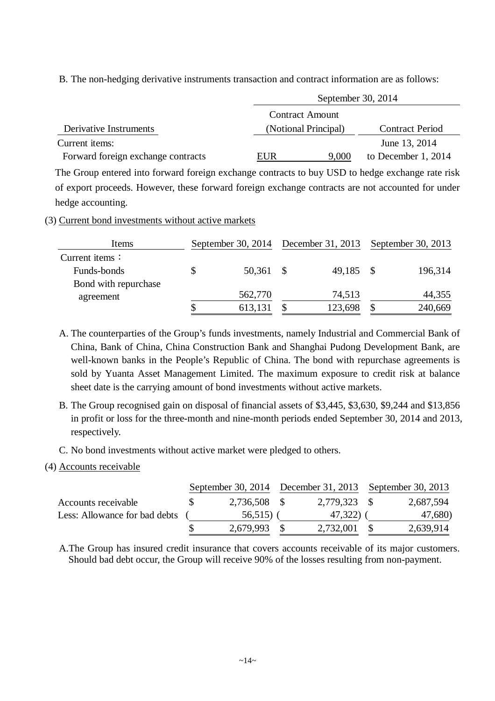B. The non-hedging derivative instruments transaction and contract information are as follows:

|                                    |     | September 30, 2014     |                        |  |  |  |  |
|------------------------------------|-----|------------------------|------------------------|--|--|--|--|
|                                    |     | <b>Contract Amount</b> |                        |  |  |  |  |
| Derivative Instruments             |     | (Notional Principal)   | <b>Contract Period</b> |  |  |  |  |
| Current items:                     |     |                        | June 13, 2014          |  |  |  |  |
| Forward foreign exchange contracts | EUR | 9,000                  | to December 1, 2014    |  |  |  |  |

The Group entered into forward foreign exchange contracts to buy USD to hedge exchange rate risk of export proceeds. However, these forward foreign exchange contracts are not accounted for under hedge accounting.

### (3) Current bond investments without active markets

| Items                | September 30, $2014$ |           | December 31, 2013 | September 30, 2013 |         |  |
|----------------------|----------------------|-----------|-------------------|--------------------|---------|--|
| Current items:       |                      |           |                   |                    |         |  |
| Funds-bonds          |                      | 50,361 \$ | 49,185            |                    | 196,314 |  |
| Bond with repurchase |                      |           |                   |                    |         |  |
| agreement            |                      | 562,770   | 74,513            |                    | 44,355  |  |
|                      | ۰D                   | 613,131   | 123,698           |                    | 240,669 |  |

A. The counterparties of the Group's funds investments, namely Industrial and Commercial Bank of China, Bank of China, China Construction Bank and Shanghai Pudong Development Bank, are well-known banks in the People's Republic of China. The bond with repurchase agreements is sold by Yuanta Asset Management Limited. The maximum exposure to credit risk at balance sheet date is the carrying amount of bond investments without active markets.

- B. The Group recognised gain on disposal of financial assets of \$3,445, \$3,630, \$9,244 and \$13,856 in profit or loss for the three-month and nine-month periods ended September 30, 2014 and 2013, respectively.
- C. No bond investments without active market were pledged to others.

## (4) Accounts receivable

|                               |              | September 30, 2014 December 31, 2013 September 30, 2013 |           |
|-------------------------------|--------------|---------------------------------------------------------|-----------|
| Accounts receivable           | 2,736,508 \$ | 2,779,323 \$                                            | 2,687,594 |
| Less: Allowance for bad debts | $56,515$ (   | 47,322)                                                 | 47,680)   |
|                               | 2,679,993    | 2,732,001                                               | 2,639,914 |

A.The Group has insured credit insurance that covers accounts receivable of its major customers. Should bad debt occur, the Group will receive 90% of the losses resulting from non-payment.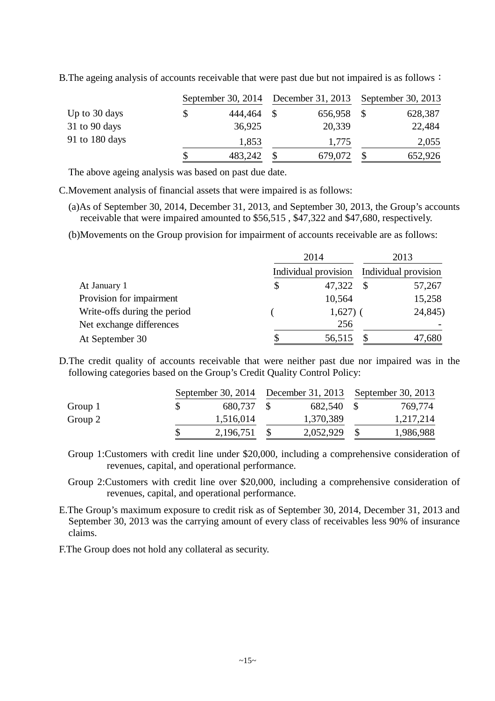|                 |   | September 30, $2014$ |  | December 31, 2013 |  | September 30, 2013 |  |
|-----------------|---|----------------------|--|-------------------|--|--------------------|--|
| Up to 30 days   | S | 444,464              |  | 656,958           |  | 628,387            |  |
| $31$ to 90 days |   | 36,925               |  | 20,339            |  | 22,484             |  |
| 91 to 180 days  |   | 1,853                |  | 1,775             |  | 2,055              |  |
|                 |   | 483,242              |  | 679,072           |  | 652,926            |  |

B. The ageing analysis of accounts receivable that were past due but not impaired is as follows:

The above ageing analysis was based on past due date.

C.Movement analysis of financial assets that were impaired is as follows:

(a)As of September 30, 2014, December 31, 2013, and September 30, 2013, the Group's accounts receivable that were impaired amounted to \$56,515 , \$47,322 and \$47,680, respectively.

(b)Movements on the Group provision for impairment of accounts receivable are as follows:

|                              | 2014 |                                           | 2013 |         |
|------------------------------|------|-------------------------------------------|------|---------|
|                              |      | Individual provision Individual provision |      |         |
| At January 1                 | \$   | 47,322                                    |      | 57,267  |
| Provision for impairment     |      | 10,564                                    |      | 15,258  |
| Write-offs during the period |      | $1,627$ ) (                               |      | 24,845) |
| Net exchange differences     |      | 256                                       |      |         |
| At September 30              | S    | 56,515                                    |      | 47,680  |

D.The credit quality of accounts receivable that were neither past due nor impaired was in the following categories based on the Group's Credit Quality Control Policy:

|         |  |           |  | September 30, 2014 December 31, 2013 September 30, 2013 |  |           |  |  |  |
|---------|--|-----------|--|---------------------------------------------------------|--|-----------|--|--|--|
| Group 1 |  | 680,737   |  | 682,540 \$                                              |  | 769,774   |  |  |  |
| Group 2 |  | 1,516,014 |  | 1,370,389                                               |  | 1,217,214 |  |  |  |
|         |  | 2,196,751 |  | 2,052,929                                               |  | 1,986,988 |  |  |  |

Group 1:Customers with credit line under \$20,000, including a comprehensive consideration of revenues, capital, and operational performance.

Group 2:Customers with credit line over \$20,000, including a comprehensive consideration of revenues, capital, and operational performance.

E.The Group's maximum exposure to credit risk as of September 30, 2014, December 31, 2013 and September 30, 2013 was the carrying amount of every class of receivables less 90% of insurance claims.

F.The Group does not hold any collateral as security.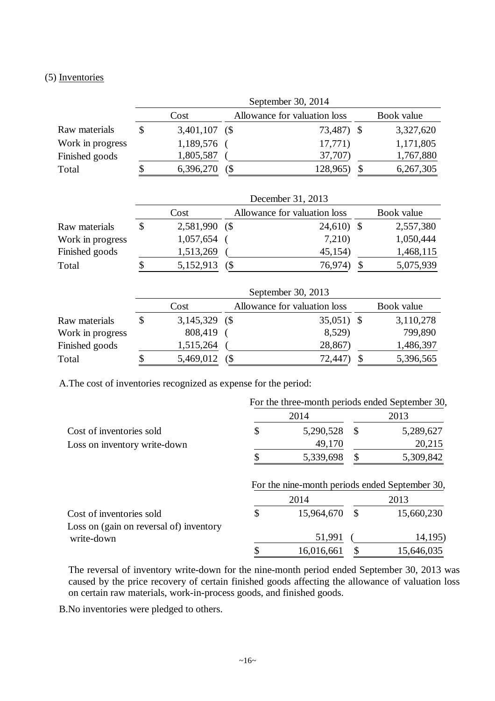### (5) Inventories

|                  | September 30, 2014 |                  |  |                              |  |            |  |
|------------------|--------------------|------------------|--|------------------------------|--|------------|--|
|                  |                    | Cost             |  | Allowance for valuation loss |  | Book value |  |
| Raw materials    |                    | $3,401,107$ (\$) |  | 73,487) \$                   |  | 3,327,620  |  |
| Work in progress |                    | 1,189,576        |  | 17,771)                      |  | 1,171,805  |  |
| Finished goods   |                    | 1,805,587        |  | 37,707)                      |  | 1,767,880  |  |
| Total            |                    | 6,396,270        |  | 128,965)                     |  | 6,267,305  |  |

|                  |    | December 31, 2013 |  |                              |  |            |  |  |
|------------------|----|-------------------|--|------------------------------|--|------------|--|--|
|                  |    | Cost              |  | Allowance for valuation loss |  | Book value |  |  |
| Raw materials    | S  | 2,581,990 (\$     |  | $24,610$ \$                  |  | 2,557,380  |  |  |
| Work in progress |    | 1,057,654         |  | 7,210)                       |  | 1,050,444  |  |  |
| Finished goods   |    | 1,513,269         |  | 45,154)                      |  | 1,468,115  |  |  |
| Total            | \$ | 5,152,913         |  | 76,974)                      |  | 5,075,939  |  |  |

|                  |    |                  |  | September 30, 2013           |  |            |  |  |
|------------------|----|------------------|--|------------------------------|--|------------|--|--|
|                  |    | Cost             |  | Allowance for valuation loss |  | Book value |  |  |
| Raw materials    | \$ | $3,145,329$ (\$) |  | $35,051$ \$                  |  | 3,110,278  |  |  |
| Work in progress |    | 808,419          |  | 8,529)                       |  | 799,890    |  |  |
| Finished goods   |    | 1,515,264        |  | 28,867)                      |  | 1,486,397  |  |  |
| Total            | S  | 5,469,012        |  | 72,447)                      |  | 5,396,565  |  |  |

A.The cost of inventories recognized as expense for the period:

|                                         | For the three-month periods ended September 30, |            |               |            |  |  |  |  |
|-----------------------------------------|-------------------------------------------------|------------|---------------|------------|--|--|--|--|
|                                         |                                                 | 2014       | 2013          |            |  |  |  |  |
| Cost of inventories sold                | \$                                              | 5,290,528  | -S            | 5,289,627  |  |  |  |  |
| Loss on inventory write-down            |                                                 | 49,170     |               | 20,215     |  |  |  |  |
|                                         |                                                 | 5,339,698  |               | 5,309,842  |  |  |  |  |
|                                         |                                                 | 2014       |               | 2013       |  |  |  |  |
| Cost of inventories sold                | \$                                              | 15,964,670 | $\mathcal{S}$ | 15,660,230 |  |  |  |  |
| Loss on (gain on reversal of) inventory |                                                 |            |               |            |  |  |  |  |
| write-down                              |                                                 | 51,991     |               | 14,195)    |  |  |  |  |
|                                         |                                                 | 16,016,661 | \$            | 15,646,035 |  |  |  |  |

The reversal of inventory write-down for the nine-month period ended September 30, 2013 was caused by the price recovery of certain finished goods affecting the allowance of valuation loss on certain raw materials, work-in-process goods, and finished goods.

B.No inventories were pledged to others.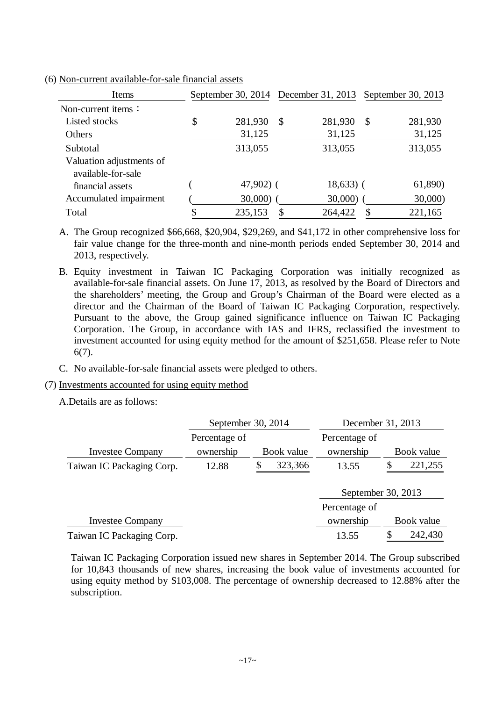| Items                                          |               |               | September 30, 2014 December 31, 2013 September 30, 2013 |    |         |
|------------------------------------------------|---------------|---------------|---------------------------------------------------------|----|---------|
| Non-current items $\colon$                     |               |               |                                                         |    |         |
| Listed stocks                                  | \$<br>281,930 | $\mathcal{S}$ | 281,930                                                 | -S | 281,930 |
| Others                                         | 31,125        |               | 31,125                                                  |    | 31,125  |
| Subtotal                                       | 313,055       |               | 313,055                                                 |    | 313,055 |
| Valuation adjustments of<br>available-for-sale |               |               |                                                         |    |         |
| financial assets                               | $47,902$ (    |               | $18,633$ (                                              |    | 61,890) |
| Accumulated impairment                         | $30,000$ )    |               | 30,000)                                                 |    | 30,000  |
| Total                                          | \$<br>235,153 |               | 264,422                                                 |    | 221,165 |

(6) Non-current available-for-sale financial assets

A. The Group recognized \$66,668, \$20,904, \$29,269, and \$41,172 in other comprehensive loss for fair value change for the three-month and nine-month periods ended September 30, 2014 and 2013, respectively.

B. Equity investment in Taiwan IC Packaging Corporation was initially recognized as available-for-sale financial assets. On June 17, 2013, as resolved by the Board of Directors and the shareholders' meeting, the Group and Group's Chairman of the Board were elected as a director and the Chairman of the Board of Taiwan IC Packaging Corporation, respectively. Pursuant to the above, the Group gained significance influence on Taiwan IC Packaging Corporation. The Group, in accordance with IAS and IFRS, reclassified the investment to investment accounted for using equity method for the amount of \$251,658. Please refer to Note 6(7).

C. No available-for-sale financial assets were pledged to others.

### (7) Investments accounted for using equity method

A.Details are as follows:

|                           | September 30, 2014         |            | December 31, 2013          |               |
|---------------------------|----------------------------|------------|----------------------------|---------------|
| <b>Investee Company</b>   | Percentage of<br>ownership | Book value | Percentage of<br>ownership | Book value    |
| Taiwan IC Packaging Corp. | 12.88                      | 323,366    | 13.55                      | 221,255       |
|                           |                            |            | September 30, 2013         |               |
|                           |                            |            | Percentage of              |               |
| <b>Investee Company</b>   |                            |            | ownership                  | Book value    |
| Taiwan IC Packaging Corp. |                            |            | 13.55                      | 242,430<br>\$ |

Taiwan IC Packaging Corporation issued new shares in September 2014. The Group subscribed for 10,843 thousands of new shares, increasing the book value of investments accounted for using equity method by \$103,008. The percentage of ownership decreased to 12.88% after the subscription.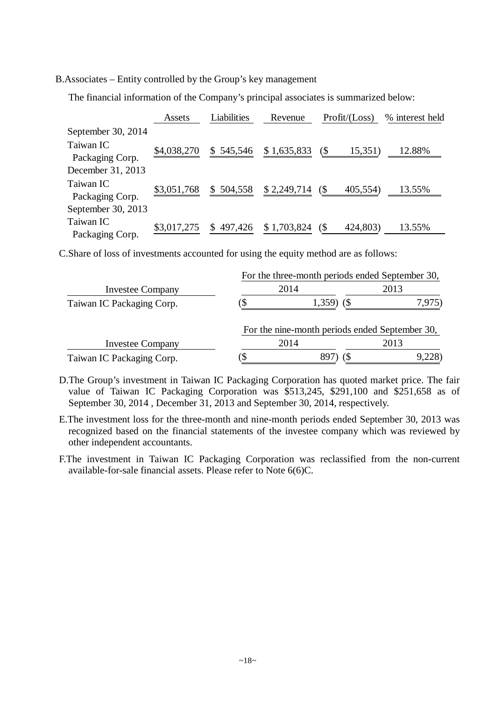B.Associates – Entity controlled by the Group's key management

The financial information of the Company's principal associates is summarized below:

|                              | Assets      | Liabilities | Revenue     | Profit / (Loss)                         | % interest held |
|------------------------------|-------------|-------------|-------------|-----------------------------------------|-----------------|
| September 30, 2014           |             |             |             |                                         |                 |
| Taiwan IC<br>Packaging Corp. | \$4,038,270 | \$545,546   | \$1,635,833 | $($ \$<br>15,351)                       | 12.88%          |
| December 31, 2013            |             |             |             |                                         |                 |
| Taiwan IC<br>Packaging Corp. | \$3,051,768 | \$504,558   | \$2,249,714 | 405,554)<br>$\left( \mathcal{S}\right)$ | 13.55%          |
| September 30, 2013           |             |             |             |                                         |                 |
| Taiwan IC<br>Packaging Corp. | \$3,017,275 | \$497,426   | \$1,703,824 | $\left( \mathcal{S}\right)$<br>424,803) | 13.55%          |

C.Share of loss of investments accounted for using the equity method are as follows:

|                           | For the three-month periods ended September 30, |                                                |        |  |  |  |
|---------------------------|-------------------------------------------------|------------------------------------------------|--------|--|--|--|
| <b>Investee Company</b>   | 2014                                            | 2013                                           |        |  |  |  |
| Taiwan IC Packaging Corp. |                                                 | $1,359$ (\$)                                   | 7,975) |  |  |  |
|                           |                                                 | For the nine-month periods ended September 30, |        |  |  |  |
| <b>Investee Company</b>   |                                                 | 2014                                           | 2013   |  |  |  |
| Taiwan IC Packaging Corp. |                                                 |                                                |        |  |  |  |

D.The Group's investment in Taiwan IC Packaging Corporation has quoted market price. The fair value of Taiwan IC Packaging Corporation was \$513,245, \$291,100 and \$251,658 as of September 30, 2014 , December 31, 2013 and September 30, 2014, respectively.

E.The investment loss for the three-month and nine-month periods ended September 30, 2013 was recognized based on the financial statements of the investee company which was reviewed by other independent accountants.

F.The investment in Taiwan IC Packaging Corporation was reclassified from the non-current available-for-sale financial assets. Please refer to Note 6(6)C.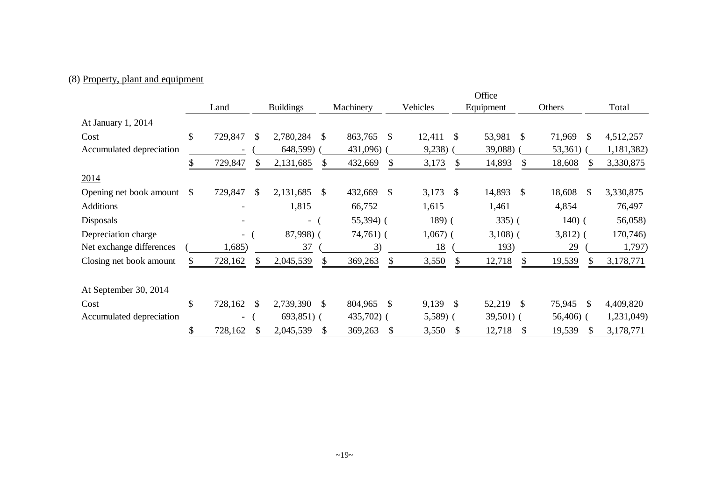# (8) Property, plant and equipment

|                          |                          |               |                  |              |             |               |             |               | Office      |          |                         |            |
|--------------------------|--------------------------|---------------|------------------|--------------|-------------|---------------|-------------|---------------|-------------|----------|-------------------------|------------|
|                          | Land                     |               | <b>Buildings</b> |              | Machinery   |               | Vehicles    |               | Equipment   |          | Others                  | Total      |
| At January 1, 2014       |                          |               |                  |              |             |               |             |               |             |          |                         |            |
| Cost                     | \$<br>729,847            | -S            | 2,780,284        | \$           | 863,765     | - \$          | $12,411$ \$ |               | 53,981 \$   |          | 71,969<br>\$            | 4,512,257  |
| Accumulated depreciation |                          |               | 648,599)         |              | 431,096)    |               | 9,238)      |               | 39,088)     |          | $53,361)$ (             | 1,181,382) |
|                          | 729,847                  |               | 2,131,685        | <sup>S</sup> | 432,669     | \$            | 3,173       | \$.           | 14,893      |          | 18,608<br>SS.           | 3,330,875  |
| 2014                     |                          |               |                  |              |             |               |             |               |             |          |                         |            |
| Opening net book amount  | \$<br>729,847            | <sup>\$</sup> | 2,131,685        | \$           | 432,669     | $\mathcal{S}$ | 3,173 \$    |               | 14,893      | <b>S</b> | 18,608<br>$\mathbb{S}$  | 3,330,875  |
| <b>Additions</b>         |                          |               | 1,815            |              | 66,752      |               | 1,615       |               | 1,461       |          | 4,854                   | 76,497     |
| <b>Disposals</b>         |                          |               | - (              |              | 55,394) (   |               | 189(        |               | $335)$ (    |          | $140)$ (                | 56,058)    |
| Depreciation charge      | $\overline{\phantom{0}}$ |               | 87,998) (        |              | $74,761)$ ( |               | $1,067$ (   |               | $3,108$ ) ( |          | $3,812)$ (              | 170,746)   |
| Net exchange differences | 1,685)                   |               | 37               |              | 3)          |               | 18          |               | 193)        |          | 29                      | 1,797)     |
| Closing net book amount  | 728,162                  | \$            | 2,045,539        |              | 369,263     | S.            | 3,550       | <sup>S</sup>  | 12,718      | S.       | 19,539<br><b>S</b>      | 3,178,771  |
| At September 30, 2014    |                          |               |                  |              |             |               |             |               |             |          |                         |            |
| Cost                     | \$<br>728,162            | <sup>\$</sup> | 2,739,390        | $\mathbb{S}$ | 804,965     | -S            | 9,139       | $\mathcal{S}$ | 52,219      | - \$     | $\mathcal{S}$<br>75,945 | 4,409,820  |
| Accumulated depreciation |                          |               | $693,851$ ) (    |              | 435,702)    |               | 5,589)      |               | 39,501)     |          | 56,406)                 | 1,231,049) |
|                          | 728,162                  |               | 2,045,539        |              | 369,263     | \$            | 3,550       | S             | 12,718      |          | 19,539<br>S             | 3,178,771  |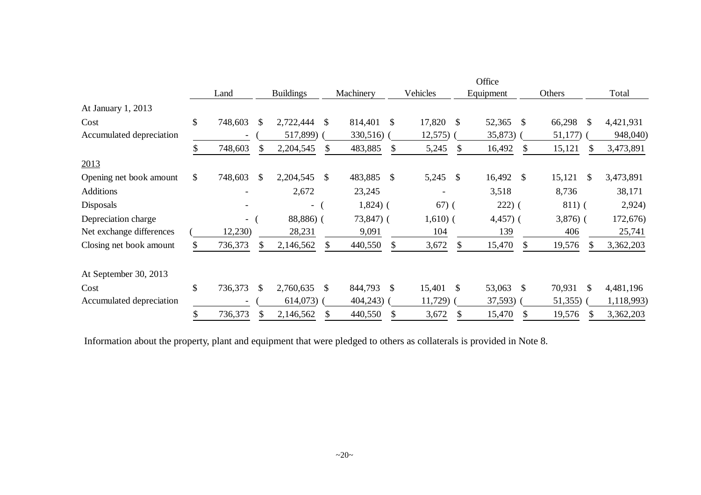|                          |              |         |               |                          |               |              |               |            |               | Office      |               |                         |            |
|--------------------------|--------------|---------|---------------|--------------------------|---------------|--------------|---------------|------------|---------------|-------------|---------------|-------------------------|------------|
|                          |              | Land    |               | <b>Buildings</b>         |               | Machinery    |               | Vehicles   |               | Equipment   |               | Others                  | Total      |
| At January 1, 2013       |              |         |               |                          |               |              |               |            |               |             |               |                         |            |
| Cost                     | \$           | 748,603 | \$.           | 2,722,444                | <sup>\$</sup> | 814,401 \$   |               | 17,820     | - \$          | 52,365 \$   |               | 66,298<br>- \$          | 4,421,931  |
| Accumulated depreciation |              |         |               | 517,899)                 |               | 330,516)     |               | 12,575)    |               | 35,873)     |               | 51,177)                 | 948,040)   |
|                          |              | 748,603 |               | 2,204,545                | S.            | 483,885      |               | 5,245      |               | 16,492      | S             | 15,121<br>S             | 3,473,891  |
| 2013                     |              |         |               |                          |               |              |               |            |               |             |               |                         |            |
| Opening net book amount  | \$           | 748,603 | $\mathbb{S}$  | 2,204,545                | \$            | 483,885      | <sup>\$</sup> | 5,245      | -S            | 16,492      | <sup>\$</sup> | 15,121<br>-S            | 3,473,891  |
| <b>Additions</b>         |              |         |               | 2,672                    |               | 23,245       |               |            |               | 3,518       |               | 8,736                   | 38,171     |
| <b>Disposals</b>         |              |         |               | $\overline{\phantom{a}}$ |               | $1,824$ ) (  |               | $67)$ (    |               | $222)$ (    |               | $811)$ (                | 2,924)     |
| Depreciation charge      |              | $\sim$  |               | 88,886) (                |               | $73,847$ ) ( |               | $1,610)$ ( |               | $4,457$ ) ( |               | $3,876$ (               | 172,676)   |
| Net exchange differences |              | 12,230) |               | 28,231                   |               | 9,091        |               | 104        |               | 139         |               | 406                     | 25,741     |
| Closing net book amount  |              | 736,373 |               | 2,146,562                | \$.           | 440,550      |               | 3,672      |               | 15,470      |               | 19,576<br>\$.           | 3,362,203  |
| At September 30, 2013    |              |         |               |                          |               |              |               |            |               |             |               |                         |            |
| Cost                     | $\mathbb{S}$ | 736,373 | <sup>\$</sup> | 2,760,635                | -S            | 844,793      | $\mathbb{S}$  | 15,401     | -S            | 53,063      | <sup>\$</sup> | 70,931<br><sup>\$</sup> | 4,481,196  |
| Accumulated depreciation |              |         |               | $614,073$ (              |               | 404,243)     |               | 11,729)    |               | $37,593$ )  |               | 51,355)                 | 1,118,993) |
|                          | \$           | 736,373 |               | 2,146,562                | \$            | 440,550      | \$            | 3,672      | $\mathcal{S}$ | 15,470      | \$            | 19,576<br>S             | 3,362,203  |

Information about the property, plant and equipment that were pledged to others as collaterals is provided in Note 8.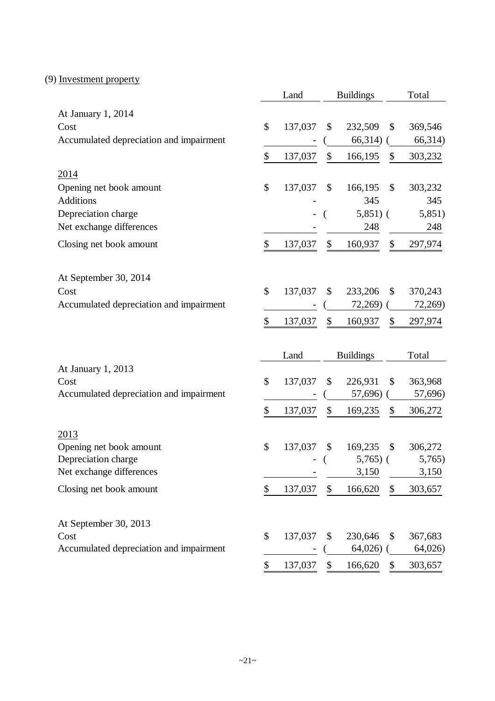# (9) Investment property

|                                         | Land          | <b>Buildings</b>   |               | Total              |
|-----------------------------------------|---------------|--------------------|---------------|--------------------|
| At January 1, 2014                      |               |                    |               |                    |
| Cost                                    | \$<br>137,037 | \$<br>232,509      | \$            | 369,546            |
| Accumulated depreciation and impairment |               | 66,314)            |               | 66,314)            |
|                                         | \$<br>137,037 | \$<br>166,195      | \$            | 303,232            |
| 2014                                    |               |                    |               |                    |
| Opening net book amount                 | \$<br>137,037 | \$<br>166,195      | \$            | 303,232            |
| <b>Additions</b>                        |               | 345                |               | 345                |
| Depreciation charge                     |               | $5,851)$ (         |               | 5,851)             |
| Net exchange differences                |               | 248                |               | 248                |
| Closing net book amount                 | \$<br>137,037 | \$<br>160,937      | \$            | 297,974            |
|                                         |               |                    |               |                    |
| At September 30, 2014                   |               |                    |               |                    |
| Cost                                    | \$<br>137,037 | \$<br>233,206      | \$            | 370,243            |
| Accumulated depreciation and impairment |               | 72,269)            |               | 72,269)            |
|                                         | \$<br>137,037 | \$<br>160,937      | \$            | 297,974            |
|                                         |               |                    |               |                    |
|                                         |               |                    |               |                    |
|                                         |               |                    |               |                    |
|                                         | Land          | <b>Buildings</b>   |               | Total              |
| At January 1, 2013<br>Cost              | \$            | \$                 | \$            |                    |
| Accumulated depreciation and impairment | 137,037       | 226,931<br>57,696) |               | 363,968<br>57,696) |
|                                         |               |                    |               |                    |
|                                         | \$<br>137,037 | \$<br>169,235      | \$            | 306,272            |
| 2013                                    |               |                    |               |                    |
| Opening net book amount                 | \$<br>137,037 | \$<br>169,235      | $\mathcal{S}$ | 306,272            |
| Depreciation charge                     |               | $5,765$ ) (        |               | 5,765)             |
| Net exchange differences                |               | 3,150              |               | 3,150              |
| Closing net book amount                 | \$<br>137,037 | \$<br>166,620      | \$            | 303,657            |
|                                         |               |                    |               |                    |
| At September 30, 2013                   |               |                    |               |                    |
| Cost                                    | \$<br>137,037 | \$<br>230,646      | \$            | 367,683            |
| Accumulated depreciation and impairment |               | 64,026             |               | 64,026             |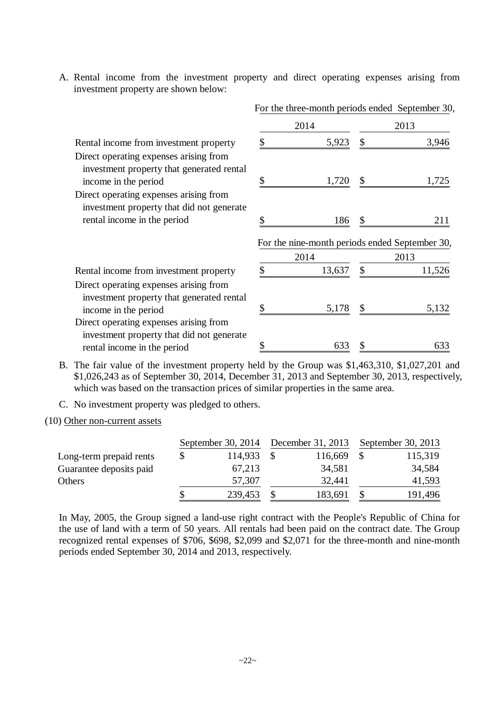A. Rental income from the investment property and direct operating expenses arising from investment property are shown below:

|                                                                                                                               | For the three-month periods ended September 30,        |             |
|-------------------------------------------------------------------------------------------------------------------------------|--------------------------------------------------------|-------------|
|                                                                                                                               | 2014                                                   | 2013        |
| Rental income from investment property                                                                                        | 5,923                                                  | 3,946       |
| Direct operating expenses arising from<br>investment property that generated rental<br>income in the period                   | \$<br>1,720                                            | \$<br>1,725 |
| Direct operating expenses arising from<br>investment property that did not generate<br>rental income in the period            | \$<br>186                                              | \$<br>211   |
|                                                                                                                               | For the nine-month periods ended September 30,<br>2014 | 2013        |
|                                                                                                                               |                                                        | \$          |
| Rental income from investment property<br>Direct operating expenses arising from<br>investment property that generated rental | \$<br>13,637                                           | 11,526      |
| income in the period                                                                                                          | \$<br>5,178                                            | \$<br>5,132 |
| Direct operating expenses arising from<br>investment property that did not generate                                           |                                                        |             |
| rental income in the period                                                                                                   | 633                                                    | 633         |

- B. The fair value of the investment property held by the Group was \$1,463,310, \$1,027,201 and \$1,026,243 as of September 30, 2014, December 31, 2013 and September 30, 2013, respectively, which was based on the transaction prices of similar properties in the same area.
- C. No investment property was pledged to others.

(10) Other non-current assets

|                         |   | September 30, 2014 | December 31, 2013 | September 30, 2013 |
|-------------------------|---|--------------------|-------------------|--------------------|
| Long-term prepaid rents | S | 114,933            | 116,669           | 115,319            |
| Guarantee deposits paid |   | 67,213             | 34,581            | 34,584             |
| Others                  |   | 57,307             | 32,441            | 41,593             |
|                         |   | 239,453            | 183,691           | 191,496            |

In May, 2005, the Group signed a land-use right contract with the People's Republic of China for the use of land with a term of 50 years. All rentals had been paid on the contract date. The Group recognized rental expenses of \$706, \$698, \$2,099 and \$2,071 for the three-month and nine-month periods ended September 30, 2014 and 2013, respectively.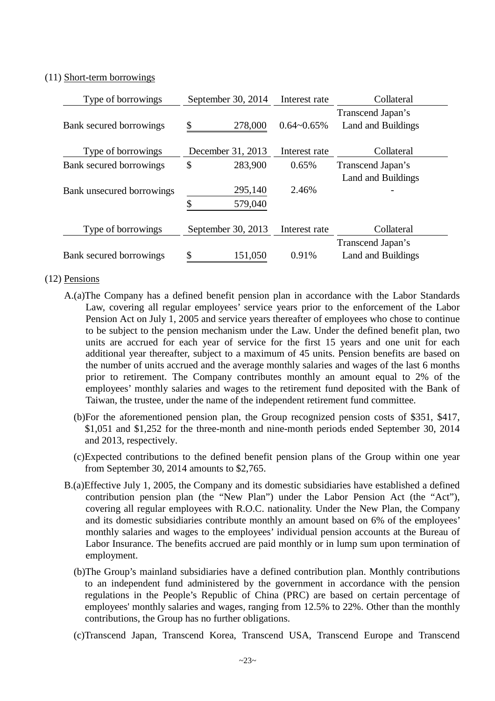### (11) Short-term borrowings

| Type of borrowings        | September 30, 2014 | Interest rate   | Collateral                                     |
|---------------------------|--------------------|-----------------|------------------------------------------------|
| Bank secured borrowings   | \$<br>278,000      | $0.64 - 0.65\%$ | Transcend Japan's<br><b>Land and Buildings</b> |
| Type of borrowings        | December 31, 2013  | Interest rate   | Collateral                                     |
| Bank secured borrowings   | \$<br>283,900      | 0.65%           | Transcend Japan's                              |
|                           |                    |                 | <b>Land and Buildings</b>                      |
| Bank unsecured borrowings | 295,140            | 2.46%           |                                                |
|                           | \$<br>579,040      |                 |                                                |
| Type of borrowings        | September 30, 2013 | Interest rate   | Collateral                                     |
|                           |                    |                 | Transcend Japan's                              |
| Bank secured borrowings   | \$<br>151,050      | 0.91%           | <b>Land and Buildings</b>                      |

### (12) Pensions

- A.(a)The Company has a defined benefit pension plan in accordance with the Labor Standards Law, covering all regular employees' service years prior to the enforcement of the Labor Pension Act on July 1, 2005 and service years thereafter of employees who chose to continue to be subject to the pension mechanism under the Law. Under the defined benefit plan, two units are accrued for each year of service for the first 15 years and one unit for each additional year thereafter, subject to a maximum of 45 units. Pension benefits are based on the number of units accrued and the average monthly salaries and wages of the last 6 months prior to retirement. The Company contributes monthly an amount equal to 2% of the employees' monthly salaries and wages to the retirement fund deposited with the Bank of Taiwan, the trustee, under the name of the independent retirement fund committee.
	- (b)For the aforementioned pension plan, the Group recognized pension costs of \$351, \$417, \$1,051 and \$1,252 for the three-month and nine-month periods ended September 30, 2014 and 2013, respectively.
	- (c)Expected contributions to the defined benefit pension plans of the Group within one year from September 30, 2014 amounts to \$2,765.
- B.(a)Effective July 1, 2005, the Company and its domestic subsidiaries have established a defined contribution pension plan (the "New Plan") under the Labor Pension Act (the "Act"), covering all regular employees with R.O.C. nationality. Under the New Plan, the Company and its domestic subsidiaries contribute monthly an amount based on 6% of the employees' monthly salaries and wages to the employees' individual pension accounts at the Bureau of Labor Insurance. The benefits accrued are paid monthly or in lump sum upon termination of employment.
	- (b)The Group's mainland subsidiaries have a defined contribution plan. Monthly contributions to an independent fund administered by the government in accordance with the pension regulations in the People's Republic of China (PRC) are based on certain percentage of employees' monthly salaries and wages, ranging from 12.5% to 22%. Other than the monthly contributions, the Group has no further obligations.
	- (c)Transcend Japan, Transcend Korea, Transcend USA, Transcend Europe and Transcend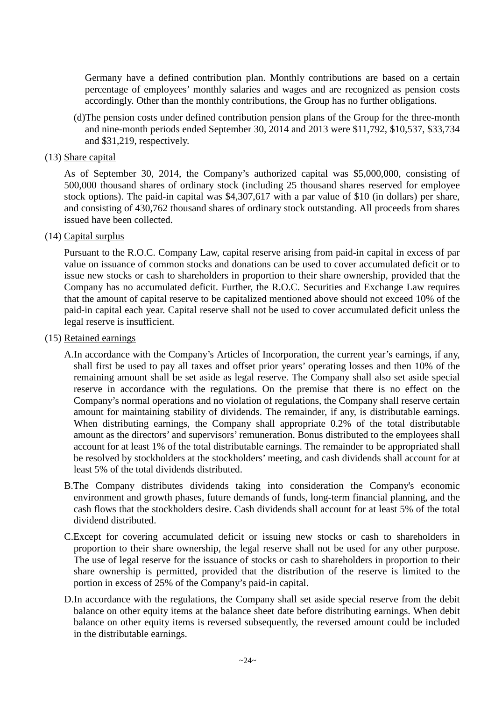Germany have a defined contribution plan. Monthly contributions are based on a certain percentage of employees' monthly salaries and wages and are recognized as pension costs accordingly. Other than the monthly contributions, the Group has no further obligations.

(d)The pension costs under defined contribution pension plans of the Group for the three-month and nine-month periods ended September 30, 2014 and 2013 were \$11,792, \$10,537, \$33,734 and \$31,219, respectively.

### (13) Share capital

As of September 30, 2014, the Company's authorized capital was \$5,000,000, consisting of 500,000 thousand shares of ordinary stock (including 25 thousand shares reserved for employee stock options). The paid-in capital was \$4,307,617 with a par value of \$10 (in dollars) per share, and consisting of 430,762 thousand shares of ordinary stock outstanding. All proceeds from shares issued have been collected.

### (14) Capital surplus

Pursuant to the R.O.C. Company Law, capital reserve arising from paid-in capital in excess of par value on issuance of common stocks and donations can be used to cover accumulated deficit or to issue new stocks or cash to shareholders in proportion to their share ownership, provided that the Company has no accumulated deficit. Further, the R.O.C. Securities and Exchange Law requires that the amount of capital reserve to be capitalized mentioned above should not exceed 10% of the paid-in capital each year. Capital reserve shall not be used to cover accumulated deficit unless the legal reserve is insufficient.

### (15) Retained earnings

A.In accordance with the Company's Articles of Incorporation, the current year's earnings, if any, shall first be used to pay all taxes and offset prior years' operating losses and then 10% of the remaining amount shall be set aside as legal reserve. The Company shall also set aside special reserve in accordance with the regulations. On the premise that there is no effect on the Company's normal operations and no violation of regulations, the Company shall reserve certain amount for maintaining stability of dividends. The remainder, if any, is distributable earnings. When distributing earnings, the Company shall appropriate 0.2% of the total distributable amount as the directors' and supervisors' remuneration. Bonus distributed to the employees shall account for at least 1% of the total distributable earnings. The remainder to be appropriated shall be resolved by stockholders at the stockholders' meeting, and cash dividends shall account for at least 5% of the total dividends distributed.

- B.The Company distributes dividends taking into consideration the Company's economic environment and growth phases, future demands of funds, long-term financial planning, and the cash flows that the stockholders desire. Cash dividends shall account for at least 5% of the total dividend distributed.
- C.Except for covering accumulated deficit or issuing new stocks or cash to shareholders in proportion to their share ownership, the legal reserve shall not be used for any other purpose. The use of legal reserve for the issuance of stocks or cash to shareholders in proportion to their share ownership is permitted, provided that the distribution of the reserve is limited to the portion in excess of 25% of the Company's paid-in capital.
- D.In accordance with the regulations, the Company shall set aside special reserve from the debit balance on other equity items at the balance sheet date before distributing earnings. When debit balance on other equity items is reversed subsequently, the reversed amount could be included in the distributable earnings.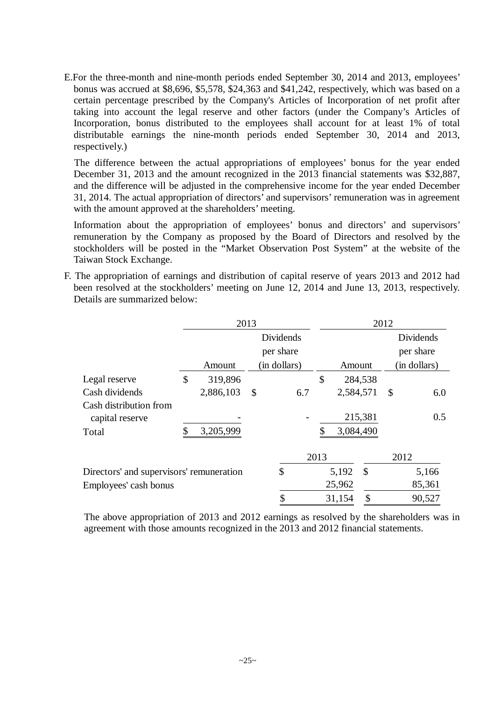E.For the three-month and nine-month periods ended September 30, 2014 and 2013, employees' bonus was accrued at \$8,696, \$5,578, \$24,363 and \$41,242, respectively, which was based on a certain percentage prescribed by the Company's Articles of Incorporation of net profit after taking into account the legal reserve and other factors (under the Company's Articles of Incorporation, bonus distributed to the employees shall account for at least 1% of total distributable earnings the nine-month periods ended September 30, 2014 and 2013, respectively.)

The difference between the actual appropriations of employees' bonus for the year ended December 31, 2013 and the amount recognized in the 2013 financial statements was \$32,887, and the difference will be adjusted in the comprehensive income for the year ended December 31, 2014. The actual appropriation of directors' and supervisors' remuneration was in agreement with the amount approved at the shareholders' meeting.

Information about the appropriation of employees' bonus and directors' and supervisors' remuneration by the Company as proposed by the Board of Directors and resolved by the stockholders will be posted in the "Market Observation Post System" at the website of the Taiwan Stock Exchange.

F. The appropriation of earnings and distribution of capital reserve of years 2013 and 2012 had been resolved at the stockholders' meeting on June 12, 2014 and June 13, 2013, respectively. Details are summarized below:

|                                           | 2013          |              |      |           |               | 2012 |              |
|-------------------------------------------|---------------|--------------|------|-----------|---------------|------|--------------|
|                                           |               | Dividends    |      |           |               |      | Dividends    |
|                                           |               | per share    |      |           |               |      | per share    |
|                                           | Amount        | (in dollars) |      | Amount    |               |      | (in dollars) |
| Legal reserve                             | \$<br>319,896 |              | \$   |           | 284,538       |      |              |
| Cash dividends                            | 2,886,103     | \$<br>6.7    |      | 2,584,571 |               | \$   | 6.0          |
| Cash distribution from<br>capital reserve |               |              |      |           | 215,381       |      | 0.5          |
| Total                                     | 3,205,999     |              |      | 3,084,490 |               |      |              |
|                                           |               |              | 2013 |           |               | 2012 |              |
| Directors' and supervisors' remuneration  |               | \$           |      | 5,192     | $\mathcal{S}$ |      | 5,166        |
| Employees' cash bonus                     |               |              |      | 25,962    |               |      | 85,361       |
|                                           |               | \$           |      | 31,154    | \$            |      | 90,527       |

The above appropriation of 2013 and 2012 earnings as resolved by the shareholders was in agreement with those amounts recognized in the 2013 and 2012 financial statements.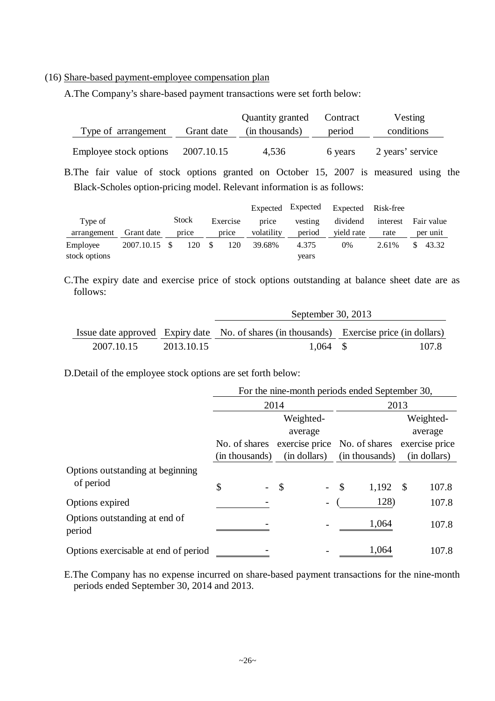(16) Share-based payment-employee compensation plan

A.The Company's share-based payment transactions were set forth below:

|                        |            | Quantity granted | Contract | Vesting          |
|------------------------|------------|------------------|----------|------------------|
| Type of arrangement    | Grant date | (in thousands)   | period   | conditions       |
| Employee stock options | 2007.10.15 | 4,536            | 6 years  | 2 years' service |

B.The fair value of stock options granted on October 15, 2007 is measured using the Black-Scholes option-pricing model. Relevant information is as follows:

|               |               |              |      |          |            | Expected Expected | Expected Risk-free |          |            |
|---------------|---------------|--------------|------|----------|------------|-------------------|--------------------|----------|------------|
| Type of       |               | <b>Stock</b> |      | Exercise | price      | vesting           | dividend           | interest | Fair value |
| arrangement   | Grant date    | price        |      | price    | volatility | period            | vield rate         | rate     | per unit   |
| Employee      | 2007.10.15 \$ | 120          | - \$ | 120      | 39.68%     | 4.375             | 0%                 | 2.61%    | 43.32      |
| stock options |               |              |      |          |            | vears             |                    |          |            |

C.The expiry date and exercise price of stock options outstanding at balance sheet date are as follows:

|            |            | September 30, 2013                                                                       |       |  |  |  |  |  |
|------------|------------|------------------------------------------------------------------------------------------|-------|--|--|--|--|--|
|            |            | Issue date approved Expiry date No. of shares (in thousands) Exercise price (in dollars) |       |  |  |  |  |  |
| 2007.10.15 | 2013.10.15 | $1.064$ \$                                                                               | 107.8 |  |  |  |  |  |

D.Detail of the employee stock options are set forth below:

|                                         |                | For the nine-month periods ended September 30, |                        |                |  |
|-----------------------------------------|----------------|------------------------------------------------|------------------------|----------------|--|
|                                         |                | 2014                                           |                        | 2013           |  |
|                                         |                | Weighted-                                      |                        | Weighted-      |  |
|                                         |                | average                                        |                        | average        |  |
|                                         |                | No. of shares exercise price No. of shares     |                        | exercise price |  |
|                                         | (in thousands) | (in dollars)                                   | (in thousands)         | (in dollars)   |  |
| Options outstanding at beginning        |                |                                                |                        |                |  |
| of period                               | \$             | $\mathcal{S}$                                  | $\mathcal{S}$<br>1,192 | 107.8<br>- \$  |  |
| Options expired                         |                |                                                | 128)                   | 107.8          |  |
| Options outstanding at end of<br>period |                |                                                | 1,064                  | 107.8          |  |
| Options exercisable at end of period    |                |                                                | 1,064                  | 107.8          |  |

E.The Company has no expense incurred on share-based payment transactions for the nine-month periods ended September 30, 2014 and 2013.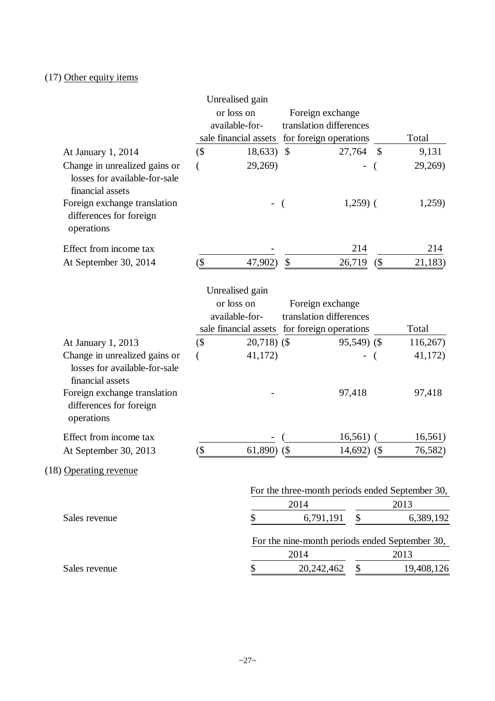# (17) Other equity items

|                                                                                    |        | Unrealised gain                              |                         |                |      |                                                 |
|------------------------------------------------------------------------------------|--------|----------------------------------------------|-------------------------|----------------|------|-------------------------------------------------|
|                                                                                    |        | or loss on                                   | Foreign exchange        |                |      |                                                 |
|                                                                                    |        | available-for-                               | translation differences |                |      |                                                 |
|                                                                                    |        | sale financial assets                        | for foreign operations  |                |      | Total                                           |
| At January 1, 2014                                                                 | $($ \$ | 18,633                                       | $\mathcal{S}$           | 27,764         | - \$ | 9,131                                           |
| Change in unrealized gains or<br>losses for available-for-sale<br>financial assets |        | 29,269)                                      |                         | $\overline{a}$ |      | 29,269)                                         |
| Foreign exchange translation<br>differences for foreign<br>operations              |        |                                              |                         | $1,259$ (      |      | 1,259)                                          |
| Effect from income tax                                                             |        |                                              |                         | 214            |      | 214                                             |
| At September 30, 2014                                                              | (\$    | 47,902)                                      | \$                      | 26,719         | (    | 21,183)                                         |
|                                                                                    |        | Unrealised gain                              |                         |                |      |                                                 |
|                                                                                    |        | or loss on                                   | Foreign exchange        |                |      |                                                 |
|                                                                                    |        | available-for-                               | translation differences |                |      |                                                 |
|                                                                                    |        | sale financial assets for foreign operations |                         |                |      | Total                                           |
| At January 1, 2013                                                                 | $($ \$ | $20,718$ (\$)                                |                         | $95,549$ (\$)  |      | 116,267                                         |
| Change in unrealized gains or<br>losses for available-for-sale<br>financial assets |        | 41,172)                                      |                         |                |      | 41,172)                                         |
| Foreign exchange translation<br>differences for foreign<br>operations              |        |                                              |                         | 97,418         |      | 97,418                                          |
| Effect from income tax                                                             |        |                                              |                         | 16,561)        |      | 16,561)                                         |
| At September 30, 2013                                                              | (\$    | 61,890)                                      | (                       | 14,692)        | (    | 76,582)                                         |
| (18) Operating revenue                                                             |        |                                              |                         |                |      |                                                 |
|                                                                                    |        |                                              |                         |                |      | For the three-month periods ended September 30, |
|                                                                                    |        |                                              | 2014                    |                |      | 2013                                            |
| Sales revenue                                                                      |        | \$                                           | 6,791,191               | \$             |      | 6,389,192                                       |
|                                                                                    |        |                                              |                         |                |      | For the nine-month periods ended September 30,  |
|                                                                                    |        |                                              | 2014                    |                |      | 2013                                            |
| Sales revenue                                                                      |        | \$                                           | 20,242,462              | \$             |      | 19,408,126                                      |
|                                                                                    |        |                                              |                         |                |      |                                                 |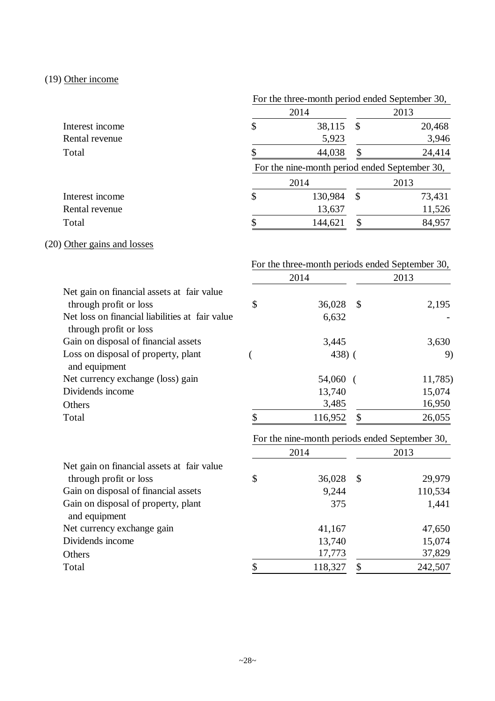# (19) Other income

|                 | For the three-month period ended September 30, |                                               |    |        |  |  |
|-----------------|------------------------------------------------|-----------------------------------------------|----|--------|--|--|
|                 |                                                | 2014                                          |    | 2013   |  |  |
| Interest income | $\boldsymbol{\mathsf{S}}$                      | 38,115                                        | \$ | 20,468 |  |  |
| Rental revenue  |                                                | 5,923                                         |    | 3,946  |  |  |
| Total           |                                                | 44,038                                        | S  | 24,414 |  |  |
|                 |                                                | For the nine-month period ended September 30, |    |        |  |  |
|                 |                                                | 2014                                          |    | 2013   |  |  |
| Interest income | $\boldsymbol{\mathsf{S}}$                      | 130,984                                       | \$ | 73,431 |  |  |
| Rental revenue  |                                                | 13,637                                        |    | 11,526 |  |  |
| Total           |                                                | 144,621                                       | \$ | 84,957 |  |  |

# (20) Other gains and losses

|                                                                           |               |                                                | For the three-month periods ended September 30, |         |  |
|---------------------------------------------------------------------------|---------------|------------------------------------------------|-------------------------------------------------|---------|--|
|                                                                           |               | 2014                                           | 2013                                            |         |  |
| Net gain on financial assets at fair value                                |               |                                                |                                                 |         |  |
| through profit or loss                                                    | \$            | 36,028                                         | $\mathcal{S}$                                   | 2,195   |  |
| Net loss on financial liabilities at fair value<br>through profit or loss |               | 6,632                                          |                                                 |         |  |
| Gain on disposal of financial assets                                      |               | 3,445                                          |                                                 | 3,630   |  |
| Loss on disposal of property, plant<br>and equipment                      |               | $438)$ (                                       |                                                 | 9)      |  |
| Net currency exchange (loss) gain                                         |               | 54,060                                         |                                                 | 11,785) |  |
| Dividends income                                                          |               | 13,740                                         |                                                 | 15,074  |  |
| Others                                                                    |               | 3,485                                          |                                                 | 16,950  |  |
| Total                                                                     | $\mathsf{\$}$ | 116,952                                        | $\mathbb{S}$                                    | 26,055  |  |
|                                                                           |               | For the nine-month periods ended September 30, |                                                 |         |  |
|                                                                           |               | 2014                                           |                                                 | 2013    |  |
| Net gain on financial assets at fair value                                |               |                                                |                                                 |         |  |
| through profit or loss                                                    | \$            | 36,028                                         | $\mathbb{S}$                                    | 29,979  |  |
| Gain on disposal of financial assets                                      |               | 9,244                                          |                                                 | 110,534 |  |
| Gain on disposal of property, plant<br>and equipment                      |               | 375                                            |                                                 | 1,441   |  |
| Net currency exchange gain                                                |               | 41,167                                         |                                                 | 47,650  |  |
| Dividends income                                                          |               | 13,740                                         |                                                 | 15,074  |  |
| Others                                                                    |               | 17,773                                         |                                                 | 37,829  |  |
| Total                                                                     | \$            | 118,327                                        | \$                                              | 242,507 |  |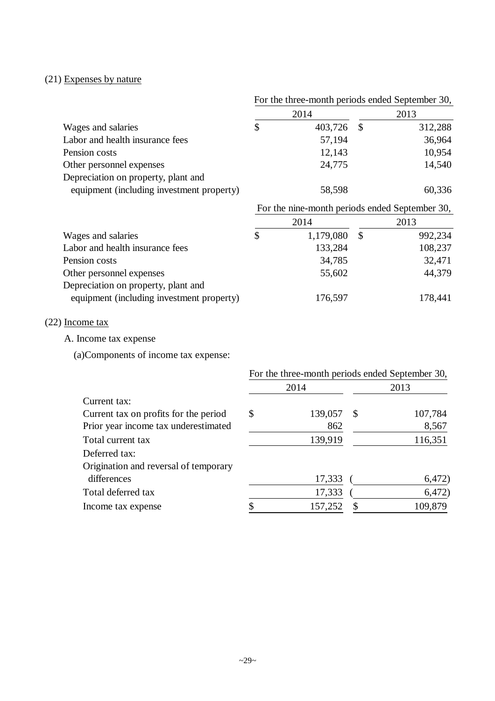# (21) Expenses by nature

|                                           | For the three-month periods ended September 30, |           |               |         |  |
|-------------------------------------------|-------------------------------------------------|-----------|---------------|---------|--|
|                                           |                                                 | 2014      | 2013          |         |  |
| Wages and salaries                        | \$                                              | 403,726   | $\mathcal{S}$ | 312,288 |  |
| Labor and health insurance fees           |                                                 | 57,194    |               | 36,964  |  |
| Pension costs                             |                                                 | 12,143    |               | 10,954  |  |
| Other personnel expenses                  |                                                 | 24,775    |               | 14,540  |  |
| Depreciation on property, plant and       |                                                 |           |               |         |  |
| equipment (including investment property) | 58,598                                          |           |               | 60,336  |  |
|                                           | For the nine-month periods ended September 30,  |           |               |         |  |
|                                           |                                                 | 2014      |               | 2013    |  |
| Wages and salaries                        | \$                                              | 1,179,080 | $\mathcal{S}$ | 992,234 |  |
| Labor and health insurance fees           |                                                 | 133,284   |               | 108,237 |  |
| Pension costs                             |                                                 | 34,785    |               | 32,471  |  |
| Other personnel expenses                  |                                                 | 55,602    |               | 44,379  |  |
| Depreciation on property, plant and       |                                                 |           |               |         |  |
| equipment (including investment property) |                                                 | 176,597   |               | 178,441 |  |
|                                           |                                                 |           |               |         |  |

## (22) Income tax

A. Income tax expense

(a)Components of income tax expense:

|                                       | For the three-month periods ended September 30, |         |      |         |  |  |
|---------------------------------------|-------------------------------------------------|---------|------|---------|--|--|
|                                       |                                                 | 2014    | 2013 |         |  |  |
| Current tax:                          |                                                 |         |      |         |  |  |
| Current tax on profits for the period | \$                                              | 139,057 | -S   | 107,784 |  |  |
| Prior year income tax underestimated  |                                                 | 862     |      | 8,567   |  |  |
| Total current tax                     |                                                 | 139,919 |      | 116,351 |  |  |
| Deferred tax:                         |                                                 |         |      |         |  |  |
| Origination and reversal of temporary |                                                 |         |      |         |  |  |
| differences                           |                                                 | 17,333  |      | 6,472)  |  |  |
| Total deferred tax                    |                                                 | 17,333  |      | 6,472)  |  |  |
| Income tax expense                    |                                                 | 157,252 | S    | 109,879 |  |  |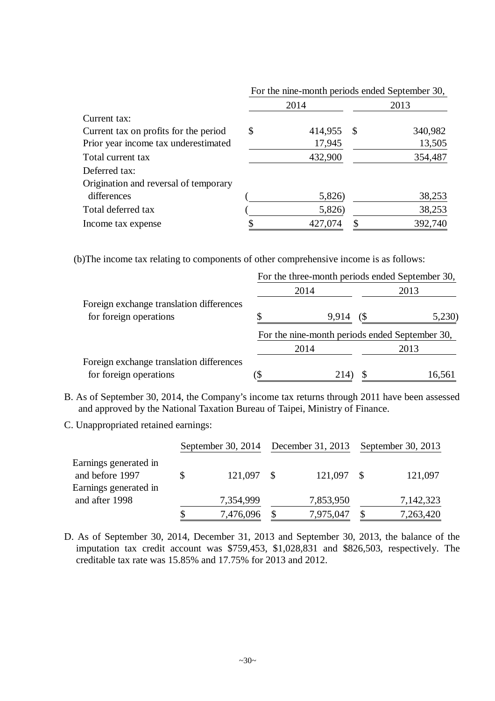|                                       |               |      | For the nine-month periods ended September 30, |  |  |
|---------------------------------------|---------------|------|------------------------------------------------|--|--|
|                                       | 2014          | 2013 |                                                |  |  |
| Current tax:                          |               |      |                                                |  |  |
| Current tax on profits for the period | \$<br>414,955 | -S   | 340,982                                        |  |  |
| Prior year income tax underestimated  | 17,945        |      | 13,505                                         |  |  |
| Total current tax                     | 432,900       |      | 354,487                                        |  |  |
| Deferred tax:                         |               |      |                                                |  |  |
| Origination and reversal of temporary |               |      |                                                |  |  |
| differences                           | 5,826)        |      | 38,253                                         |  |  |
| Total deferred tax                    | 5,826)        |      | 38,253                                         |  |  |
| Income tax expense                    | 427,074       |      | 392,740                                        |  |  |

(b)The income tax relating to components of other comprehensive income is as follows:

|                                          | For the three-month periods ended September 30, |                              |        |  |  |
|------------------------------------------|-------------------------------------------------|------------------------------|--------|--|--|
|                                          | 2014                                            | 2013                         |        |  |  |
| Foreign exchange translation differences |                                                 |                              |        |  |  |
| for foreign operations                   | 9.914                                           | $\left( \mathcal{S} \right)$ | 5,230) |  |  |
|                                          | For the nine-month periods ended September 30,  |                              |        |  |  |
|                                          | 2014                                            |                              | 2013   |  |  |
| Foreign exchange translation differences |                                                 |                              |        |  |  |
| for foreign operations                   | 214)                                            |                              | 16,561 |  |  |

- B. As of September 30, 2014, the Company's income tax returns through 2011 have been assessed and approved by the National Taxation Bureau of Taipei, Ministry of Finance.
- C. Unappropriated retained earnings:

|                                                                   | September 30, 2014 December 31, 2013 September 30, 2013 |              |  |            |  |           |
|-------------------------------------------------------------------|---------------------------------------------------------|--------------|--|------------|--|-----------|
| Earnings generated in<br>and before 1997<br>Earnings generated in |                                                         | $121,097$ \$ |  | 121,097 \$ |  | 121,097   |
| and after 1998                                                    |                                                         | 7,354,999    |  | 7,853,950  |  | 7,142,323 |
|                                                                   |                                                         | 7,476,096    |  | 7,975,047  |  | 7,263,420 |

D. As of September 30, 2014, December 31, 2013 and September 30, 2013, the balance of the imputation tax credit account was \$759,453, \$1,028,831 and \$826,503, respectively. The creditable tax rate was 15.85% and 17.75% for 2013 and 2012.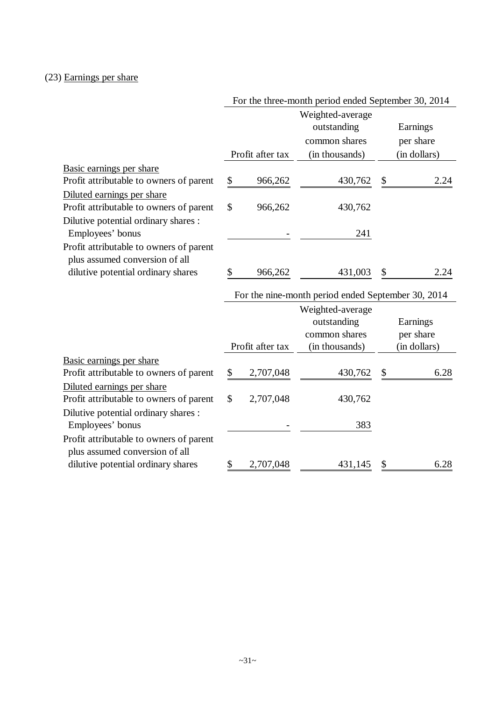# (23) Earnings per share

|                                         |                  | For the three-month period ended September 30, 2014                |                                       |
|-----------------------------------------|------------------|--------------------------------------------------------------------|---------------------------------------|
|                                         |                  | Weighted-average<br>outstanding<br>common shares                   | Earnings<br>per share                 |
|                                         | Profit after tax | (in thousands)                                                     | (in dollars)                          |
| Basic earnings per share                |                  |                                                                    |                                       |
| Profit attributable to owners of parent | \$<br>966,262    | 430,762                                                            | \$<br>2.24                            |
| Diluted earnings per share              |                  |                                                                    |                                       |
| Profit attributable to owners of parent | \$<br>966,262    | 430,762                                                            |                                       |
| Dilutive potential ordinary shares :    |                  |                                                                    |                                       |
| Employees' bonus                        |                  | 241                                                                |                                       |
| Profit attributable to owners of parent |                  |                                                                    |                                       |
| plus assumed conversion of all          |                  |                                                                    |                                       |
| dilutive potential ordinary shares      | \$<br>966,262    | 431,003                                                            | 2.24                                  |
|                                         |                  | For the nine-month period ended September 30, 2014                 |                                       |
|                                         | Profit after tax | Weighted-average<br>outstanding<br>common shares<br>(in thousands) | Earnings<br>per share<br>(in dollars) |
| Basic earnings per share                |                  |                                                                    |                                       |
| Profit attributable to owners of parent | \$<br>2,707,048  | 430,762                                                            | \$<br>6.28                            |
| Diluted earnings per share              |                  |                                                                    |                                       |
| Profit attributable to owners of parent | \$<br>2,707,048  | 430,762                                                            |                                       |
| Dilutive potential ordinary shares :    |                  |                                                                    |                                       |
| Employees' bonus                        |                  | 383                                                                |                                       |
| Profit attributable to owners of parent |                  |                                                                    |                                       |
| plus assumed conversion of all          |                  |                                                                    |                                       |
| dilutive potential ordinary shares      | \$<br>2,707,048  | 431,145                                                            | 6.28                                  |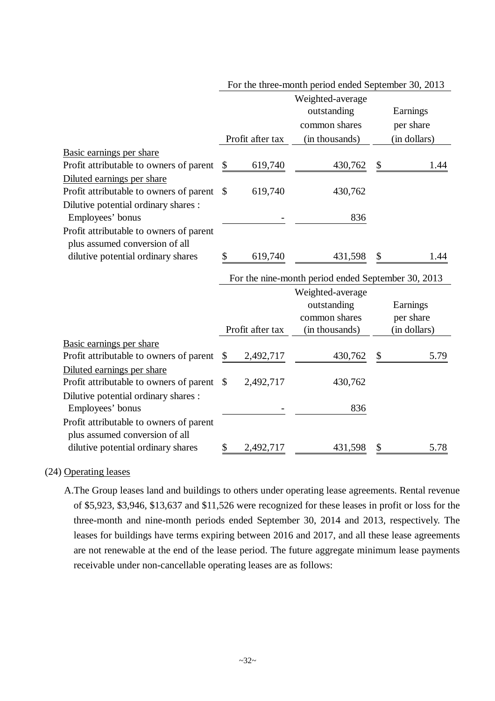|                                                                          |                  | Weighted-average                                                       |              |
|--------------------------------------------------------------------------|------------------|------------------------------------------------------------------------|--------------|
|                                                                          |                  | outstanding                                                            | Earnings     |
|                                                                          |                  | common shares                                                          | per share    |
|                                                                          | Profit after tax | (in thousands)                                                         | (in dollars) |
| Basic earnings per share                                                 |                  |                                                                        |              |
| Profit attributable to owners of parent<br>\$                            | 619,740          | 430,762                                                                | \$<br>1.44   |
| Diluted earnings per share                                               |                  |                                                                        |              |
| Profit attributable to owners of parent<br>\$                            | 619,740          | 430,762                                                                |              |
| Dilutive potential ordinary shares :                                     |                  |                                                                        |              |
| Employees' bonus                                                         |                  | 836                                                                    |              |
| Profit attributable to owners of parent                                  |                  |                                                                        |              |
| plus assumed conversion of all                                           |                  |                                                                        |              |
| dilutive potential ordinary shares<br>\$                                 | 619,740          | 431,598                                                                | \$<br>1.44   |
|                                                                          |                  |                                                                        |              |
|                                                                          |                  |                                                                        |              |
|                                                                          |                  | outstanding                                                            | Earnings     |
|                                                                          |                  | common shares                                                          | per share    |
|                                                                          | Profit after tax | (in thousands)                                                         | (in dollars) |
| Basic earnings per share                                                 |                  |                                                                        |              |
| Profit attributable to owners of parent<br>\$                            | 2,492,717        | 430,762                                                                | \$<br>5.79   |
|                                                                          |                  |                                                                        |              |
|                                                                          |                  |                                                                        |              |
| Diluted earnings per share<br>Profit attributable to owners of parent \$ | 2,492,717        | 430,762                                                                |              |
|                                                                          |                  |                                                                        |              |
| Dilutive potential ordinary shares :<br>Employees' bonus                 |                  | 836                                                                    |              |
| Profit attributable to owners of parent                                  |                  |                                                                        |              |
| plus assumed conversion of all                                           |                  |                                                                        |              |
|                                                                          |                  | For the nine-month period ended September 30, 2013<br>Weighted-average |              |

### For the three-month period ended September 30, 2013

### (24) Operating leases

A.The Group leases land and buildings to others under operating lease agreements. Rental revenue of \$5,923, \$3,946, \$13,637 and \$11,526 were recognized for these leases in profit or loss for the three-month and nine-month periods ended September 30, 2014 and 2013, respectively. The leases for buildings have terms expiring between 2016 and 2017, and all these lease agreements are not renewable at the end of the lease period. The future aggregate minimum lease payments receivable under non-cancellable operating leases are as follows: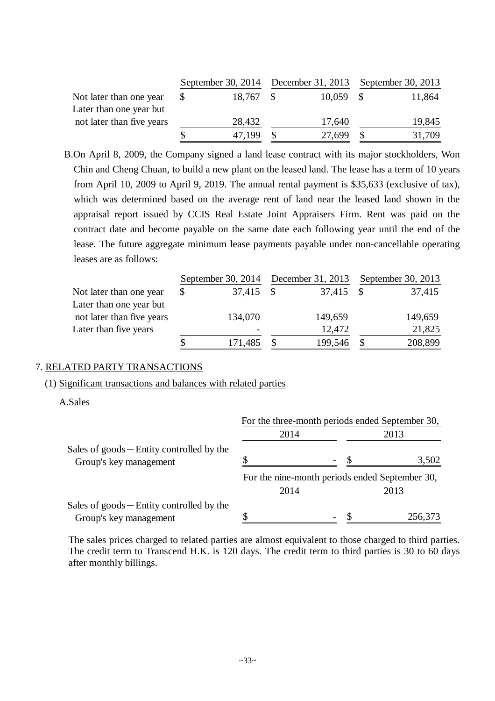|                           |           | September 30, 2014 December 31, 2013 September 30, 2013 |        |
|---------------------------|-----------|---------------------------------------------------------|--------|
| Not later than one year   | 18,767 \$ | $10,059$ \$                                             | 11,864 |
| Later than one year but   |           |                                                         |        |
| not later than five years | 28,432    | 17,640                                                  | 19,845 |
|                           | 47,199    | 27,699                                                  | 31,709 |

B.On April 8, 2009, the Company signed a land lease contract with its major stockholders, Won Chin and Cheng Chuan, to build a new plant on the leased land. The lease has a term of 10 years from April 10, 2009 to April 9, 2019. The annual rental payment is \$35,633 (exclusive of tax), which was determined based on the average rent of land near the leased land shown in the appraisal report issued by CCIS Real Estate Joint Appraisers Firm. Rent was paid on the contract date and become payable on the same date each following year until the end of the lease. The future aggregate minimum lease payments payable under non-cancellable operating leases are as follows:

|                           | September 30, 2014 December 31, 2013 September 30, 2013 |                          |  |           |  |         |
|---------------------------|---------------------------------------------------------|--------------------------|--|-----------|--|---------|
| Not later than one year   | \$                                                      | 37,415 \$                |  | 37,415 \$ |  | 37,415  |
| Later than one year but   |                                                         |                          |  |           |  |         |
| not later than five years |                                                         | 134,070                  |  | 149,659   |  | 149,659 |
| Later than five years     |                                                         | $\overline{\phantom{0}}$ |  | 12,472    |  | 21,825  |
|                           |                                                         | 171,485                  |  | 199,546   |  | 208,899 |

### 7. RELATED PARTY TRANSACTIONS

### (1) Significant transactions and balances with related parties

A.Sales

|                                                                       | For the three-month periods ended September 30, |                                                |         |  |  |
|-----------------------------------------------------------------------|-------------------------------------------------|------------------------------------------------|---------|--|--|
|                                                                       | 2014                                            |                                                | 2013    |  |  |
| Sales of $goods$ – Entity controlled by the<br>Group's key management |                                                 |                                                | 3,502   |  |  |
|                                                                       |                                                 | For the nine-month periods ended September 30, |         |  |  |
|                                                                       | 2014                                            |                                                | 2013    |  |  |
| Sales of $goods$ – Entity controlled by the<br>Group's key management |                                                 |                                                | 256,373 |  |  |

The sales prices charged to related parties are almost equivalent to those charged to third parties. The credit term to Transcend H.K. is 120 days. The credit term to third parties is 30 to 60 days after monthly billings.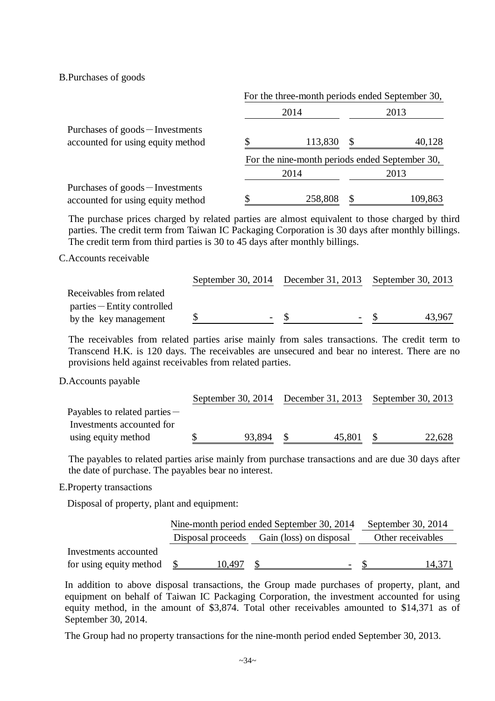B.Purchases of goods

|                                                                       | For the three-month periods ended September 30, |         |                                                |         |  |  |  |  |
|-----------------------------------------------------------------------|-------------------------------------------------|---------|------------------------------------------------|---------|--|--|--|--|
|                                                                       |                                                 | 2014    |                                                | 2013    |  |  |  |  |
| Purchases of goods – Investments<br>accounted for using equity method |                                                 | 113,830 | \$                                             | 40,128  |  |  |  |  |
|                                                                       |                                                 |         | For the nine-month periods ended September 30, |         |  |  |  |  |
|                                                                       |                                                 | 2014    |                                                | 2013    |  |  |  |  |
| Purchases of goods – Investments<br>accounted for using equity method |                                                 | 258,808 |                                                | 109,863 |  |  |  |  |

The purchase prices charged by related parties are almost equivalent to those charged by third parties. The credit term from Taiwan IC Packaging Corporation is 30 days after monthly billings. The credit term from third parties is 30 to 45 days after monthly billings.

C.Accounts receivable

|                             |   | September 30, 2014 December 31, 2013 September 30, 2013 |        |
|-----------------------------|---|---------------------------------------------------------|--------|
| Receivables from related    |   |                                                         |        |
| parties – Entity controlled |   |                                                         |        |
| by the key management       | - |                                                         | 43.967 |

The receivables from related parties arise mainly from sales transactions. The credit term to Transcend H.K. is 120 days. The receivables are unsecured and bear no interest. There are no provisions held against receivables from related parties.

### D.Accounts payable

|                                 |        |        | September 30, 2014 December 31, 2013 September 30, 2013 |        |  |
|---------------------------------|--------|--------|---------------------------------------------------------|--------|--|
| Payables to related parties $-$ |        |        |                                                         |        |  |
| Investments accounted for       |        |        |                                                         |        |  |
| using equity method             | 93,894 | 45,801 |                                                         | 22,628 |  |

The payables to related parties arise mainly from purchase transactions and are due 30 days after the date of purchase. The payables bear no interest.

E.Property transactions

Disposal of property, plant and equipment:

|                         |        | Nine-month period ended September 30, 2014<br>September 30, 2014 |                   |  |  |  |  |  |
|-------------------------|--------|------------------------------------------------------------------|-------------------|--|--|--|--|--|
|                         |        | Disposal proceeds Gain (loss) on disposal                        | Other receivables |  |  |  |  |  |
| Investments accounted   |        |                                                                  |                   |  |  |  |  |  |
| for using equity method | 10.497 | $\overline{\phantom{a}}$                                         | 14,371            |  |  |  |  |  |

In addition to above disposal transactions, the Group made purchases of property, plant, and equipment on behalf of Taiwan IC Packaging Corporation, the investment accounted for using equity method, in the amount of \$3,874. Total other receivables amounted to \$14,371 as of September 30, 2014.

The Group had no property transactions for the nine-month period ended September 30, 2013.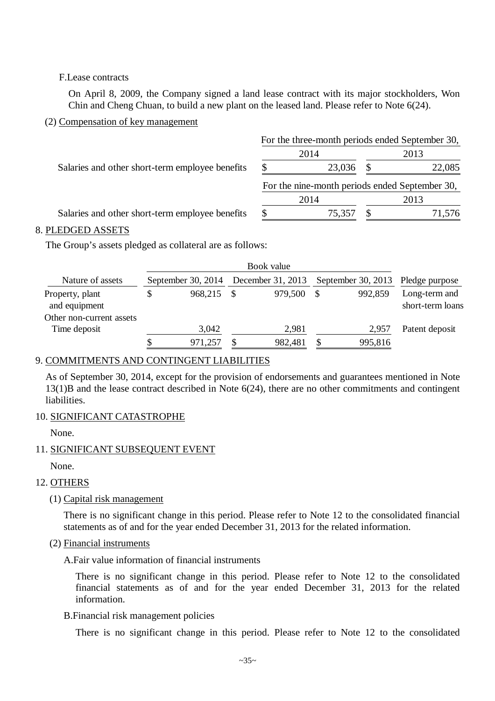### F.Lease contracts

On April 8, 2009, the Company signed a land lease contract with its major stockholders, Won Chin and Cheng Chuan, to build a new plant on the leased land. Please refer to Note 6(24).

### (2) Compensation of key management

|                                                 | For the three-month periods ended September 30, |        |                                                |        |  |  |  |  |
|-------------------------------------------------|-------------------------------------------------|--------|------------------------------------------------|--------|--|--|--|--|
|                                                 |                                                 | 2014   |                                                | 2013   |  |  |  |  |
| Salaries and other short-term employee benefits | <sup>\$</sup>                                   | 23,036 | -S                                             | 22,085 |  |  |  |  |
|                                                 |                                                 |        | For the nine-month periods ended September 30, |        |  |  |  |  |
|                                                 |                                                 | 2014   |                                                | 2013   |  |  |  |  |
|                                                 |                                                 |        |                                                |        |  |  |  |  |

### 8. PLEDGED ASSETS

The Group's assets pledged as collateral are as follows:

| Nature of assets                 |   | September 30, $2014$ | December 31, 2013 |    |         | September 30, 2013 Pledge purpose |
|----------------------------------|---|----------------------|-------------------|----|---------|-----------------------------------|
| Property, plant<br>and equipment |   | 968,215              | 979,500           | \$ | 992,859 | Long-term and<br>short-term loans |
| Other non-current assets         |   |                      |                   |    |         |                                   |
| Time deposit                     |   | 3,042                | 2,981             |    | 2,957   | Patent deposit                    |
|                                  | S | 971,257              | 982,481           |    | 995,816 |                                   |

# 9. COMMITMENTS AND CONTINGENT LIABILITIES

As of September 30, 2014, except for the provision of endorsements and guarantees mentioned in Note 13(1)B and the lease contract described in Note 6(24), there are no other commitments and contingent liabilities.

## 10. SIGNIFICANT CATASTROPHE

None.

## 11. SIGNIFICANT SUBSEQUENT EVENT

None.

## 12. OTHERS

## (1) Capital risk management

There is no significant change in this period. Please refer to Note 12 to the consolidated financial statements as of and for the year ended December 31, 2013 for the related information.

### (2) Financial instruments

A.Fair value information of financial instruments

There is no significant change in this period. Please refer to Note 12 to the consolidated financial statements as of and for the year ended December 31, 2013 for the related information.

## B.Financial risk management policies

There is no significant change in this period. Please refer to Note 12 to the consolidated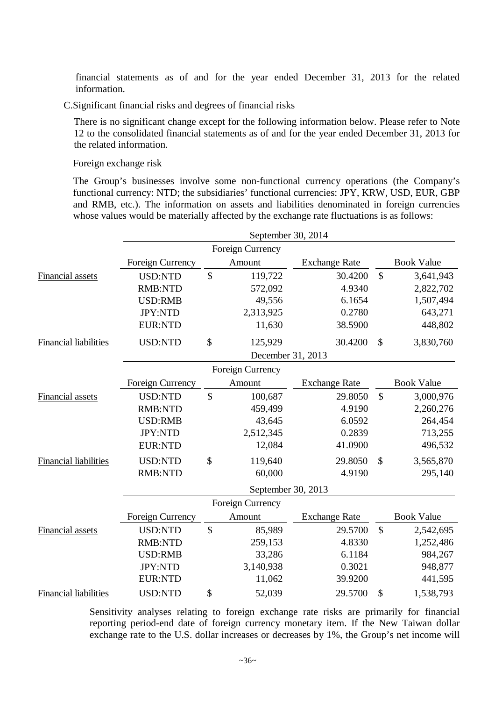financial statements as of and for the year ended December 31, 2013 for the related information.

C.Significant financial risks and degrees of financial risks

There is no significant change except for the following information below. Please refer to Note 12 to the consolidated financial statements as of and for the year ended December 31, 2013 for the related information.

### Foreign exchange risk

The Group's businesses involve some non-functional currency operations (the Company's functional currency: NTD; the subsidiaries' functional currencies: JPY, KRW, USD, EUR, GBP and RMB, etc.). The information on assets and liabilities denominated in foreign currencies whose values would be materially affected by the exchange rate fluctuations is as follows:

|                              |                  | September 30, 2014      |                      |               |                   |
|------------------------------|------------------|-------------------------|----------------------|---------------|-------------------|
|                              |                  | Foreign Currency        |                      |               |                   |
|                              | Foreign Currency | Amount                  | <b>Exchange Rate</b> |               | <b>Book Value</b> |
| Financial assets             | <b>USD:NTD</b>   | \$<br>119,722           | 30.4200              | $\mathcal{S}$ | 3,641,943         |
|                              | <b>RMB:NTD</b>   | 572,092                 | 4.9340               |               | 2,822,702         |
|                              | <b>USD:RMB</b>   | 49,556                  | 6.1654               |               | 1,507,494         |
|                              | <b>JPY:NTD</b>   | 2,313,925               | 0.2780               |               | 643,271           |
|                              | <b>EUR:NTD</b>   | 11,630                  | 38.5900              |               | 448,802           |
| <b>Financial liabilities</b> | <b>USD:NTD</b>   | \$<br>125,929           | 30.4200              | $\mathcal{S}$ | 3,830,760         |
|                              |                  | December 31, 2013       |                      |               |                   |
|                              |                  | <b>Foreign Currency</b> |                      |               |                   |
|                              | Foreign Currency | Amount                  | <b>Exchange Rate</b> |               | <b>Book Value</b> |
| <b>Financial assets</b>      | <b>USD:NTD</b>   | \$<br>100,687           | 29.8050              | $\mathcal{S}$ | 3,000,976         |
|                              | <b>RMB:NTD</b>   | 459,499                 | 4.9190               |               | 2,260,276         |
|                              | <b>USD:RMB</b>   | 43,645                  | 6.0592               |               | 264,454           |
|                              | JPY:NTD          | 2,512,345               | 0.2839               |               | 713,255           |
|                              | <b>EUR:NTD</b>   | 12,084                  | 41.0900              |               | 496,532           |
| <b>Financial liabilities</b> | <b>USD:NTD</b>   | \$<br>119,640           | 29.8050              | $\mathcal{S}$ | 3,565,870         |
|                              | <b>RMB:NTD</b>   | 60,000                  | 4.9190               |               | 295,140           |
|                              |                  | September 30, 2013      |                      |               |                   |
|                              |                  | Foreign Currency        |                      |               |                   |
|                              | Foreign Currency | Amount                  | <b>Exchange Rate</b> |               | <b>Book Value</b> |
| Financial assets             | <b>USD:NTD</b>   | \$<br>85,989            | 29.5700              | $\mathcal{S}$ | 2,542,695         |
|                              | <b>RMB:NTD</b>   | 259,153                 | 4.8330               |               | 1,252,486         |
|                              | <b>USD:RMB</b>   | 33,286                  | 6.1184               |               | 984,267           |
|                              | JPY:NTD          | 3,140,938               | 0.3021               |               | 948,877           |
|                              | <b>EUR:NTD</b>   | 11,062                  | 39.9200              |               | 441,595           |
| <b>Financial liabilities</b> | <b>USD:NTD</b>   | \$<br>52,039            | 29.5700              | \$            | 1,538,793         |

Sensitivity analyses relating to foreign exchange rate risks are primarily for financial reporting period-end date of foreign currency monetary item. If the New Taiwan dollar exchange rate to the U.S. dollar increases or decreases by 1%, the Group's net income will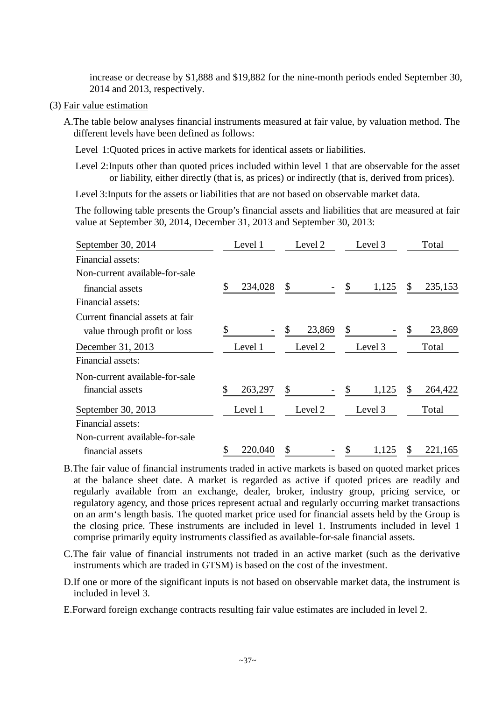increase or decrease by \$1,888 and \$19,882 for the nine-month periods ended September 30, 2014 and 2013, respectively.

- (3) Fair value estimation
	- A.The table below analyses financial instruments measured at fair value, by valuation method. The different levels have been defined as follows:
		- Level 1:Quoted prices in active markets for identical assets or liabilities.
		- Level 2:Inputs other than quoted prices included within level 1 that are observable for the asset or liability, either directly (that is, as prices) or indirectly (that is, derived from prices).

Level 3:Inputs for the assets or liabilities that are not based on observable market data.

The following table presents the Group's financial assets and liabilities that are measured at fair value at September 30, 2014, December 31, 2013 and September 30, 2013:

| September 30, 2014               | Level 1       | Level 2      | Level 3     | Total          |
|----------------------------------|---------------|--------------|-------------|----------------|
| Financial assets:                |               |              |             |                |
| Non-current available-for-sale   |               |              |             |                |
| financial assets                 | 234,028       | \$           | \$<br>1,125 | 235,153<br>\$. |
| Financial assets:                |               |              |             |                |
| Current financial assets at fair |               |              |             |                |
| value through profit or loss     | \$            | 23,869<br>\$ | S           | 23,869<br>\$   |
| December 31, 2013                | Level 1       | Level 2      | Level 3     | Total          |
| Financial assets:                |               |              |             |                |
| Non-current available-for-sale   |               |              |             |                |
| financial assets                 | 263,297<br>\$ | \$           | \$<br>1,125 | 264,422<br>\$. |
| September 30, 2013               | Level 1       | Level 2      | Level 3     | Total          |
| Financial assets:                |               |              |             |                |
| Non-current available-for-sale   |               |              |             |                |
| financial assets                 | 220,040<br>\$ | S            | 1,125       | 221,165        |

- B.The fair value of financial instruments traded in active markets is based on quoted market prices at the balance sheet date. A market is regarded as active if quoted prices are readily and regularly available from an exchange, dealer, broker, industry group, pricing service, or regulatory agency, and those prices represent actual and regularly occurring market transactions on an arm's length basis. The quoted market price used for financial assets held by the Group is the closing price. These instruments are included in level 1. Instruments included in level 1 comprise primarily equity instruments classified as available-for-sale financial assets.
- C.The fair value of financial instruments not traded in an active market (such as the derivative instruments which are traded in GTSM) is based on the cost of the investment.
- D.If one or more of the significant inputs is not based on observable market data, the instrument is included in level 3.
- E.Forward foreign exchange contracts resulting fair value estimates are included in level 2.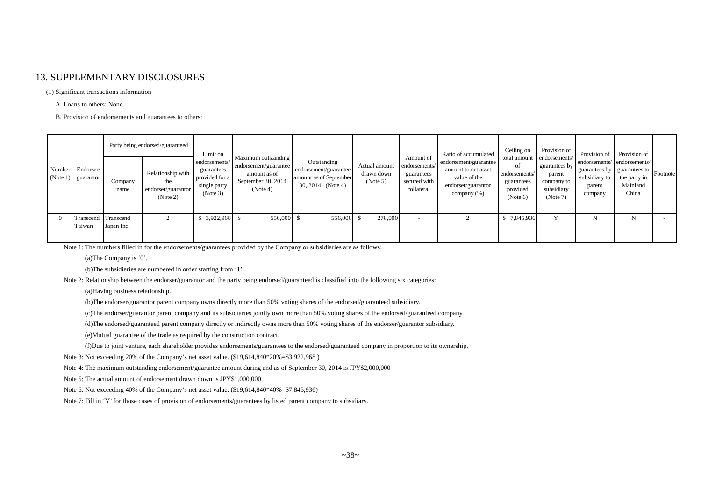### 13. SUPPLEMENTARY DISCLOSURES

#### (1) Significant transactions information

A. Loans to others: None.

B. Provision of endorsements and guarantees to others:

|  |                                          | Party being endorsed/guaranteed |                                                            | Limit on                                                                  |                                                                                                |                                                                                     |                                         | Amount of                                                 | Ratio of accumulated                                                                              | Ceiling on                                                | Provision of                                                                                  | Provision of                                                                                                     | Provision of                      |  |
|--|------------------------------------------|---------------------------------|------------------------------------------------------------|---------------------------------------------------------------------------|------------------------------------------------------------------------------------------------|-------------------------------------------------------------------------------------|-----------------------------------------|-----------------------------------------------------------|---------------------------------------------------------------------------------------------------|-----------------------------------------------------------|-----------------------------------------------------------------------------------------------|------------------------------------------------------------------------------------------------------------------|-----------------------------------|--|
|  | Number Endorser/<br>$(Note 1)$ guarantor | Company<br>name                 | Relationship with<br>the<br>endorser/guarantor<br>(Note 2) | endorsements/<br>guarantees<br>provided for a<br>single party<br>(Note 3) | Maximum outstanding<br>endorsement/guarantee<br>amount as of<br>September 30, 2014<br>(Note 4) | Outstanding<br>endorsement/guarantee<br>amount as of September<br>30, 2014 (Note 4) | Actual amount<br>drawn down<br>(Note 5) | endorsements/<br>guarantees<br>secured with<br>collateral | endorsement/guarantee<br>amount to net asset<br>value of the<br>endorser/guarantor<br>company (%) | οt<br>endorsements/<br>guarantees<br>provided<br>(Note 6) | total amount endorsements/<br>guarantees by<br>parent<br>company to<br>subsidiary<br>(Note 7) | endorsements/endorsements/<br>  guarantees by   guarantees to   Footnote  <br>subsidiary to<br>parent<br>company | the party in<br>Mainland<br>China |  |
|  | Transcend<br>Taiwan                      | Transcend<br>Japan Inc.         |                                                            | 3,922,968                                                                 | 556,000 \$                                                                                     | 556,000                                                                             | 278,000                                 | $\sim$                                                    |                                                                                                   | 7,845,936                                                 |                                                                                               |                                                                                                                  |                                   |  |

Note 1: The numbers filled in for the endorsements/guarantees provided by the Company or subsidiaries are as follows:

(a)The Company is '0'.

(b)The subsidiaries are numbered in order starting from '1'.

Note 2: Relationship between the endorser/guarantor and the party being endorsed/guaranteed is classified into the following six categories:

(a)Having business relationship.

(b)The endorser/guarantor parent company owns directly more than 50% voting shares of the endorsed/guaranteed subsidiary.

(c)The endorser/guarantor parent company and its subsidiaries jointly own more than 50% voting shares of the endorsed/guaranteed company.

(d)The endorsed/guaranteed parent company directly or indirectly owns more than 50% voting shares of the endorser/guarantor subsidiary.

(e)Mutual guarantee of the trade as required by the construction contract.

(f)Due to joint venture, each shareholder provides endorsements/guarantees to the endorsed/guaranteed company in proportion to its ownership.

Note 3: Not exceeding 20% of the Company's net asset value. (\$19,614,840\*20%=\$3,922,968 )

Note 4: The maximum outstanding endorsement/guarantee amount during and as of September 30, 2014 is JPY\$2,000,000.

Note 5: The actual amount of endorsement drawn down is JPY\$1,000,000.

Note 6: Not exceeding 40% of the Company's net asset value. (\$19,614,840\*40%=\$7,845,936)

Note 7: Fill in 'Y' for those cases of provision of endorsements/guarantees by listed parent company to subsidiary.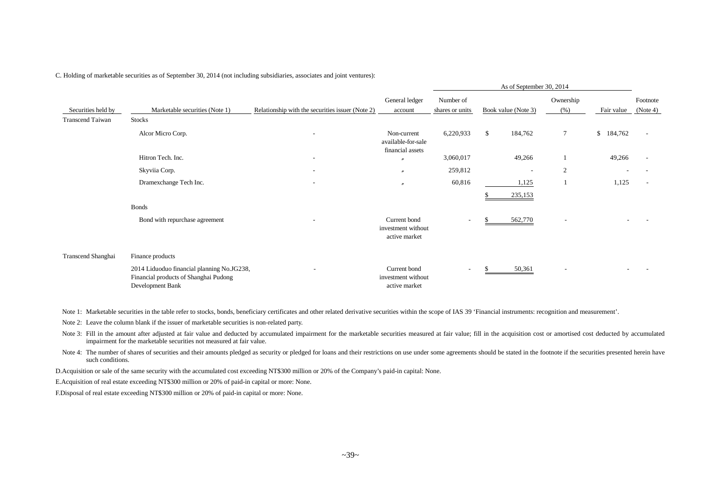|                         |                                                                                                         |                                                  |                                                       | As of September 30, 2014     |                     |                          |                          |                         |                          |
|-------------------------|---------------------------------------------------------------------------------------------------------|--------------------------------------------------|-------------------------------------------------------|------------------------------|---------------------|--------------------------|--------------------------|-------------------------|--------------------------|
| Securities held by      | Marketable securities (Note 1)                                                                          | Relationship with the securities issuer (Note 2) | General ledger<br>account                             | Number of<br>shares or units | Book value (Note 3) |                          | Ownership<br>(%)         | Fair value              | Footnote<br>(Note 4)     |
| <b>Transcend Taiwan</b> | <b>Stocks</b>                                                                                           |                                                  |                                                       |                              |                     |                          |                          |                         |                          |
|                         | Alcor Micro Corp.                                                                                       | $\overline{\phantom{a}}$                         | Non-current<br>available-for-sale<br>financial assets | 6,220,933                    | \$                  | 184,762                  | 7                        | $\mathbb{S}$<br>184,762 | $\overline{\phantom{a}}$ |
|                         | Hitron Tech. Inc.                                                                                       |                                                  | $\overline{v}$                                        | 3,060,017                    |                     | 49,266                   |                          | 49,266                  |                          |
|                         | Skyviia Corp.                                                                                           |                                                  | $\overline{u}$                                        | 259,812                      |                     | $\overline{\phantom{a}}$ | $\overline{c}$           |                         |                          |
|                         | Dramexchange Tech Inc.                                                                                  | $\overline{\phantom{0}}$                         | $\overline{''}$                                       | 60,816                       |                     | 1,125                    |                          | 1,125                   | $\overline{\phantom{a}}$ |
|                         |                                                                                                         |                                                  |                                                       |                              |                     | 235,153                  |                          |                         |                          |
|                         | <b>Bonds</b>                                                                                            |                                                  |                                                       |                              |                     |                          |                          |                         |                          |
|                         | Bond with repurchase agreement                                                                          |                                                  | Current bond<br>investment without<br>active market   | $\sim$                       |                     | 562,770                  | $\overline{\phantom{a}}$ |                         |                          |
| Transcend Shanghai      | Finance products                                                                                        |                                                  |                                                       |                              |                     |                          |                          |                         |                          |
|                         | 2014 Liduoduo financial planning No.JG238,<br>Financial products of Shanghai Pudong<br>Development Bank |                                                  | Current bond<br>investment without<br>active market   | $\sim$                       |                     | 50,361                   | $\overline{\phantom{a}}$ |                         |                          |

C. Holding of marketable securities as of September 30, 2014 (not including subsidiaries, associates and joint ventures):

Note 1: Marketable securities in the table refer to stocks, bonds, beneficiary certificates and other related derivative securities within the scope of IAS 39 'Financial instruments: recognition and measurement'.

Note 2: Leave the column blank if the issuer of marketable securities is non-related party.

Note 3: Fill in the amount after adjusted at fair value and deducted by accumulated impairment for the marketable securities measured at fair value; fill in the acquisition cost or amortised cost deducted by accumulated impairment for the marketable securities not measured at fair value.

Note 4: The number of shares of securities and their amounts pledged as security or pledged for loans and their restrictions on use under some agreements should be stated in the footnote if the securities presented herein such conditions.

D.Acquisition or sale of the same security with the accumulated cost exceeding NT\$300 million or 20% of the Company's paid-in capital: None.

E.Acquisition of real estate exceeding NT\$300 million or 20% of paid-in capital or more: None.

F.Disposal of real estate exceeding NT\$300 million or 20% of paid-in capital or more: None.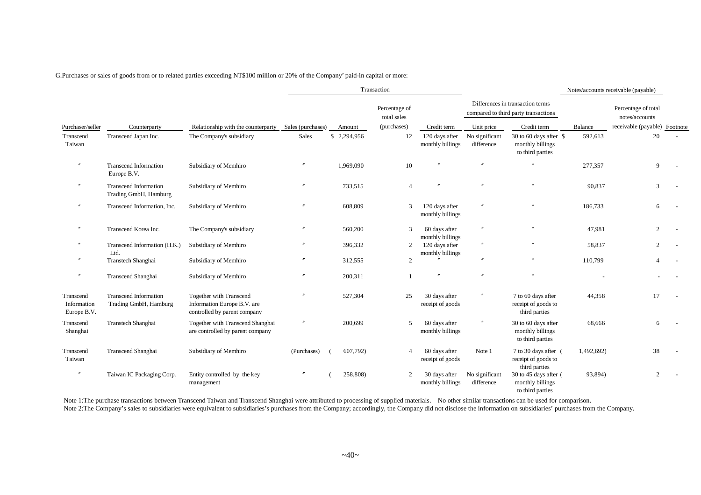G.Purchases or sales of goods from or to related parties exceeding NT\$100 million or 20% of the Company' paid-in capital or more:

|                                         |                                                       |                                                                                        |                   |             | Transaction                  |                                    | Notes/accounts receivable (payable)                                      |                                                                |            |                                       |  |  |  |
|-----------------------------------------|-------------------------------------------------------|----------------------------------------------------------------------------------------|-------------------|-------------|------------------------------|------------------------------------|--------------------------------------------------------------------------|----------------------------------------------------------------|------------|---------------------------------------|--|--|--|
|                                         |                                                       |                                                                                        |                   |             | Percentage of<br>total sales |                                    | Differences in transaction terms<br>compared to third party transactions |                                                                |            | Percentage of total<br>notes/accounts |  |  |  |
| Purchaser/seller                        | Counterparty                                          | Relationship with the counterparty                                                     | Sales (purchases) | Amount      | (purchases)                  | Credit term                        | Unit price                                                               | Credit term                                                    | Balance    | receivable (payable) Footnote         |  |  |  |
| Transcend<br>Taiwan                     | Transcend Japan Inc.                                  | The Company's subsidiary                                                               | Sales             | \$2,294,956 | 12                           | 120 days after<br>monthly billings | No significant<br>difference                                             | 30 to 60 days after \$<br>monthly billings<br>to third parties | 592,613    | 20                                    |  |  |  |
| $^{\prime\prime}$                       | <b>Transcend Information</b><br>Europe B.V.           | Subsidiary of Memhiro                                                                  |                   | 1,969,090   | 10                           |                                    | $\theta$                                                                 |                                                                | 277,357    | 9                                     |  |  |  |
| $^{\prime\prime}$                       | <b>Transcend Information</b><br>Trading GmbH, Hamburg | Subsidiary of Memhiro                                                                  |                   | 733,515     | $\overline{4}$               |                                    |                                                                          | $\theta$                                                       | 90.837     | 3                                     |  |  |  |
| $^{\prime\prime}$                       | Transcend Information, Inc.                           | Subsidiary of Memhiro                                                                  |                   | 608,809     | 3                            | 120 days after<br>monthly billings |                                                                          | $^{\prime\prime}$                                              | 186,733    |                                       |  |  |  |
| $^{\prime\prime}$                       | Transcend Korea Inc.                                  | The Company's subsidiary                                                               | $^{\prime\prime}$ | 560,200     | $\mathcal{R}$                | 60 days after<br>monthly billings  | $^{\prime\prime}$                                                        | $^{\prime\prime}$                                              | 47,981     | $\mathfrak{D}$                        |  |  |  |
|                                         | Transcend Information (H.K.)                          | Subsidiary of Memhiro                                                                  |                   | 396,332     | 2                            | 120 days after                     | $^{\prime\prime}$                                                        | $^{\prime\prime}$                                              | 58,837     | 2                                     |  |  |  |
| $^{\prime\prime}$                       | Ltd.<br>Transtech Shanghai                            | Subsidiary of Memhiro                                                                  |                   | 312,555     | $\overline{2}$               | monthly billings                   |                                                                          |                                                                | 110,799    |                                       |  |  |  |
| $^{\prime\prime}$                       | Transcend Shanghai                                    | Subsidiary of Memhiro                                                                  |                   | 200,311     |                              |                                    |                                                                          |                                                                |            |                                       |  |  |  |
| Transcend<br>Information<br>Europe B.V. | <b>Transcend Information</b><br>Trading GmbH, Hamburg | Together with Transcend<br>Information Europe B.V. are<br>controlled by parent company | $^{\prime\prime}$ | 527,304     | 25                           | 30 days after<br>receipt of goods  | $\prime\prime$                                                           | 7 to 60 days after<br>receipt of goods to<br>third parties     | 44,358     | 17                                    |  |  |  |
| Transcend<br>Shanghai                   | Transtech Shanghai                                    | Together with Transcend Shanghai<br>are controlled by parent company                   | $^{\prime\prime}$ | 200,699     | 5                            | 60 days after<br>monthly billings  | $^{\prime\prime}$                                                        | 30 to 60 days after<br>monthly billings<br>to third parties    | 68,666     | 6                                     |  |  |  |
| Transcend<br>Taiwan                     | Transcend Shanghai                                    | Subsidiary of Memhiro                                                                  | (Purchases)       | 607,792)    |                              | 60 days after<br>receipt of goods  | Note 1                                                                   | 7 to 30 days after (<br>receipt of goods to<br>third parties   | 1,492,692) | 38                                    |  |  |  |
| $^{\prime\prime}$                       | Taiwan IC Packaging Corp.                             | Entity controlled by the key<br>management                                             |                   | 258,808)    | 2                            | 30 days after<br>monthly billings  | No significant<br>difference                                             | 30 to 45 days after (<br>monthly billings<br>to third parties  | 93,894)    | 2                                     |  |  |  |

Note 1:The purchase transactions between Transcend Taiwan and Transcend Shanghai were attributed to processing of supplied materials. No other similar transactions can be used for comparison. Note 2:The Company's sales to subsidiaries were equivalent to subsidiaries's purchases from the Company; accordingly, the Company did not disclose the information on subsidiaries' purchases from the Company.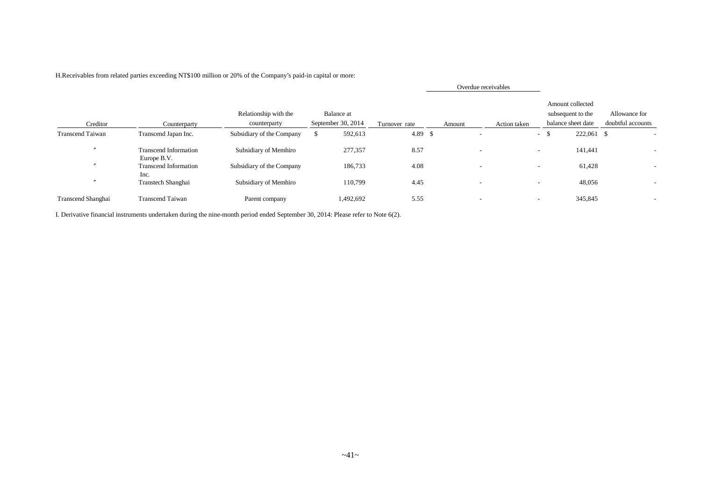|                    |                                             |                                       |    |                                  | Overdue receivables |        |                          |              |                          |                                                             |                                    |
|--------------------|---------------------------------------------|---------------------------------------|----|----------------------------------|---------------------|--------|--------------------------|--------------|--------------------------|-------------------------------------------------------------|------------------------------------|
| Creditor           | Counterparty                                | Relationship with the<br>counterparty |    | Balance at<br>September 30, 2014 | Turnover rate       | Amount |                          | Action taken |                          | Amount collected<br>subsequent to the<br>balance sheet date | Allowance for<br>doubtful accounts |
| Transcend Taiwan   | Transcend Japan Inc.                        | Subsidiary of the Company             | -S | 592,613                          | 4.89S               |        | $\overline{\phantom{a}}$ |              |                          | $-5$<br>222,061 \$                                          |                                    |
|                    | <b>Transcend Information</b><br>Europe B.V. | Subsidiary of Memhiro                 |    | 277,357                          | 8.57                |        | $\overline{\phantom{a}}$ |              | $\sim$                   | 141,441                                                     |                                    |
|                    | <b>Transcend Information</b>                | Subsidiary of the Company             |    | 186,733                          | 4.08                |        | $\overline{\phantom{a}}$ |              | $\overline{\phantom{a}}$ | 61,428                                                      |                                    |
|                    | Inc.<br>Transtech Shanghai                  | Subsidiary of Memhiro                 |    | 110,799                          | 4.45                |        | $\overline{\phantom{a}}$ |              | $\overline{\phantom{a}}$ | 48,056                                                      | $\overline{\phantom{a}}$           |
| Transcend Shanghai | <b>Transcend Taiwan</b>                     | Parent company                        |    | 1,492,692                        | 5.55                |        | $\overline{\phantom{a}}$ |              | $\overline{\phantom{0}}$ | 345,845                                                     |                                    |

H.Receivables from related parties exceeding NT\$100 million or 20% of the Company's paid-in capital or more:

I. Derivative financial instruments undertaken during the nine-month period ended September 30, 2014: Please refer to Note 6(2).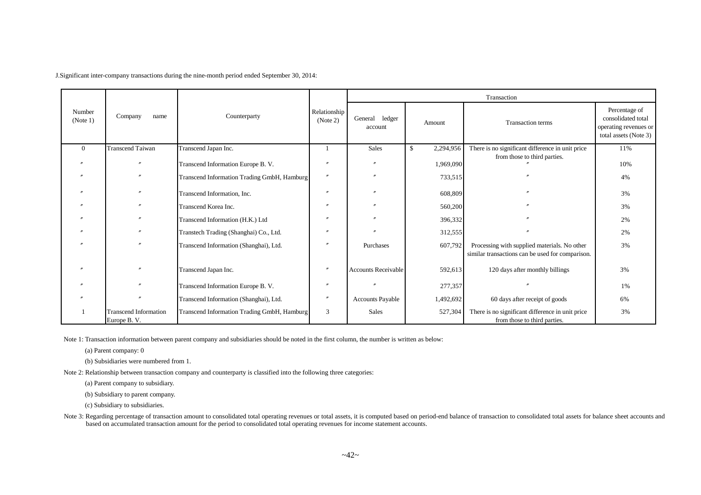J.Significant inter-company transactions during the nine-month period ended September 30, 2014:

|                    |                                             |                                             |                          | Transaction                |                  |                                                                                                  |                                                                                       |  |  |  |
|--------------------|---------------------------------------------|---------------------------------------------|--------------------------|----------------------------|------------------|--------------------------------------------------------------------------------------------------|---------------------------------------------------------------------------------------|--|--|--|
| Number<br>(Note 1) | Company<br>name                             | Counterparty                                | Relationship<br>(Note 2) | General ledger<br>account  | Amount           | <b>Transaction terms</b>                                                                         | Percentage of<br>consolidated total<br>operating revenues or<br>total assets (Note 3) |  |  |  |
| $\Omega$           | <b>Transcend Taiwan</b>                     | Transcend Japan Inc.                        |                          | <b>Sales</b>               | 2,294,956<br>\$. | There is no significant difference in unit price                                                 | 11%                                                                                   |  |  |  |
|                    |                                             | Transcend Information Europe B. V.          |                          | $\theta$                   | 1,969,090        | from those to third parties.                                                                     | 10%                                                                                   |  |  |  |
|                    |                                             | Transcend Information Trading GmbH, Hamburg |                          |                            | 733,515          |                                                                                                  | 4%                                                                                    |  |  |  |
|                    |                                             | Transcend Information, Inc.                 |                          |                            | 608,809          |                                                                                                  | 3%                                                                                    |  |  |  |
|                    |                                             | Transcend Korea Inc.                        |                          |                            | 560,200          |                                                                                                  | 3%                                                                                    |  |  |  |
|                    |                                             | Transcend Information (H.K.) Ltd            |                          |                            | 396,332          |                                                                                                  | 2%                                                                                    |  |  |  |
|                    |                                             | Transtech Trading (Shanghai) Co., Ltd.      |                          |                            | 312,555          |                                                                                                  | 2%                                                                                    |  |  |  |
|                    |                                             | Transcend Information (Shanghai), Ltd.      |                          | Purchases                  | 607,792          | Processing with supplied materials. No other<br>similar transactions can be used for comparison. | 3%                                                                                    |  |  |  |
| $\prime$           |                                             | Transcend Japan Inc.                        |                          | <b>Accounts Receivable</b> | 592,613          | 120 days after monthly billings                                                                  | 3%                                                                                    |  |  |  |
|                    |                                             | Transcend Information Europe B. V.          |                          |                            | 277,357          |                                                                                                  | 1%                                                                                    |  |  |  |
|                    |                                             | Transcend Information (Shanghai), Ltd.      |                          | <b>Accounts Payable</b>    | 1,492,692        | 60 days after receipt of goods                                                                   | 6%                                                                                    |  |  |  |
|                    | <b>Transcend Information</b><br>Europe B.V. | Transcend Information Trading GmbH, Hamburg | 3                        | Sales                      | 527,304          | There is no significant difference in unit price<br>from those to third parties.                 | 3%                                                                                    |  |  |  |

Note 1: Transaction information between parent company and subsidiaries should be noted in the first column, the number is written as below:

(a) Parent company: 0

(b) Subsidiaries were numbered from 1.

Note 2: Relationship between transaction company and counterparty is classified into the following three categories:

(a) Parent company to subsidiary.

(b) Subsidiary to parent company.

(c) Subsidiary to subsidiaries.

Note 3: Regarding percentage of transaction amount to consolidated total operating revenues or total assets, it is computed based on period-end balance of transaction to consolidated total assets for balance sheet accounts based on accumulated transaction amount for the period to consolidated total operating revenues for income statement accounts.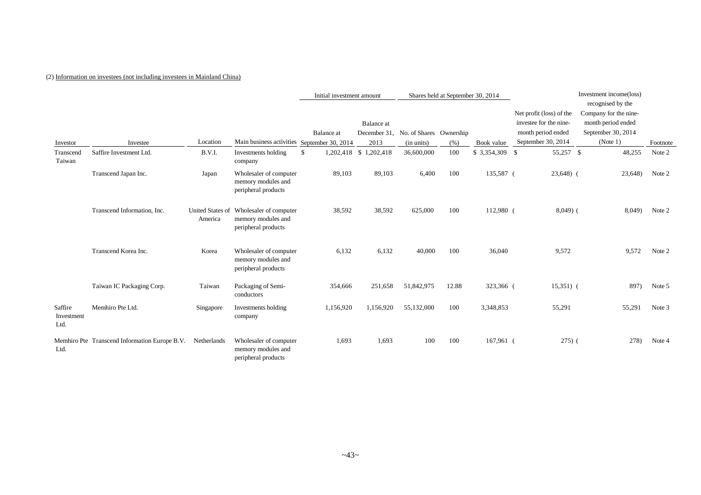### (2) Information on investees (not including investees in Mainland China)

|                               |                                               |                             |                                                                     | Initial investment amount |                        | Shares held at September 30, 2014    |       | Investment income(loss) |                                                                          |                                                                                        |          |
|-------------------------------|-----------------------------------------------|-----------------------------|---------------------------------------------------------------------|---------------------------|------------------------|--------------------------------------|-------|-------------------------|--------------------------------------------------------------------------|----------------------------------------------------------------------------------------|----------|
|                               |                                               |                             |                                                                     | <b>Balance</b> at         | Balance at             | December 31, No. of Shares Ownership |       |                         | Net profit (loss) of the<br>investee for the nine-<br>month period ended | recognised by the<br>Company for the nine-<br>month period ended<br>September 30, 2014 |          |
| Investor                      | Investee                                      | Location                    | Main business activities September 30, 2014                         |                           | 2013                   | (in units)                           | (% )  | Book value              | September 30, 2014                                                       | (Note 1)                                                                               | Footnote |
| Transcend<br>Taiwan           | Saffire Investment Ltd.                       | B.V.I.                      | Investments holding<br>company                                      | $\mathbb{S}$              | 1,202,418 \$ 1,202,418 | 36,600,000                           | 100   |                         | 55,257 \$                                                                | 48,255                                                                                 | Note 2   |
|                               | Transcend Japan Inc.                          | Japan                       | Wholesaler of computer<br>memory modules and<br>peripheral products | 89,103                    | 89,103                 | 6,400                                | 100   | 135,587 (               | $23,648$ (                                                               | 23,648)                                                                                | Note 2   |
|                               | Transcend Information, Inc.                   | United States of<br>America | Wholesaler of computer<br>memory modules and<br>peripheral products | 38,592                    | 38,592                 | 625,000                              | 100   | 112,980 (               | $8,049$ (                                                                | 8,049)                                                                                 | Note 2   |
|                               | Transcend Korea Inc.                          | Korea                       | Wholesaler of computer<br>memory modules and<br>peripheral products | 6,132                     | 6,132                  | 40,000                               | 100   | 36,040                  | 9,572                                                                    | 9,572                                                                                  | Note 2   |
|                               | Taiwan IC Packaging Corp.                     | Taiwan                      | Packaging of Semi-<br>conductors                                    | 354,666                   | 251,658                | 51,842,975                           | 12.88 | 323,366 (               | $15,351)$ (                                                              | 897)                                                                                   | Note 5   |
| Saffire<br>Investment<br>Ltd. | Memhiro Pte Ltd.                              | Singapore                   | Investments holding<br>company                                      | 1,156,920                 | 1,156,920              | 55,132,000                           | 100   | 3,348,853               | 55,291                                                                   | 55,291                                                                                 | Note 3   |
| Ltd.                          | Membiro Pte Transcend Information Europe B.V. | Netherlands                 | Wholesaler of computer<br>memory modules and<br>peripheral products | 1,693                     | 1,693                  | 100                                  | 100   | 167,961 (               | $275)$ (                                                                 | 278)                                                                                   | Note 4   |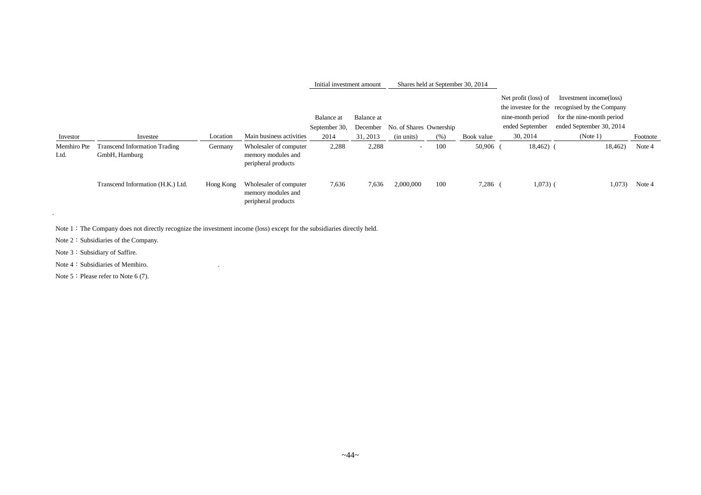| Investor            | Investee                                              | Location  | Main business activities                                            | Balance at<br>September 30,<br>2014 | Balance at<br>December<br>31, 2013 | No. of Shares Ownership<br>(in units) | (% ) | Book value | Net profit (loss) of<br>nine-month period<br>ended September<br>30, 2014 | Investment income(loss)<br>the investee for the recognised by the Company<br>for the nine-month period<br>ended September 30, 2014<br>(Note 1) | Footnote |
|---------------------|-------------------------------------------------------|-----------|---------------------------------------------------------------------|-------------------------------------|------------------------------------|---------------------------------------|------|------------|--------------------------------------------------------------------------|------------------------------------------------------------------------------------------------------------------------------------------------|----------|
| Memhiro Pte<br>Ltd. | <b>Transcend Information Trading</b><br>GmbH, Hamburg | Germany   | Wholesaler of computer<br>memory modules and<br>peripheral products | 2,288                               | 2,288                              | $\sim$                                | 100  | 50,906     | $18,462$ (                                                               | 18,462)                                                                                                                                        | Note 4   |
|                     | Transcend Information (H.K.) Ltd.                     | Hong Kong | Wholesaler of computer<br>memory modules and<br>peripheral products | 7,636                               | 7,636                              | 2,000,000                             | 100  | 7,286      | $1,073)$ (                                                               | 1,073)                                                                                                                                         | Note 4   |

Initial investment amount Shares held at September 30, 2014

Note 1: The Company does not directly recognize the investment income (loss) except for the subsidiaries directly held.

Note 2: Subsidiaries of the Company.

Note 3: Subsidiary of Saffire.

.

Note 4: Subsidiaries of Memhiro.

Note 5: Please refer to Note 6 (7).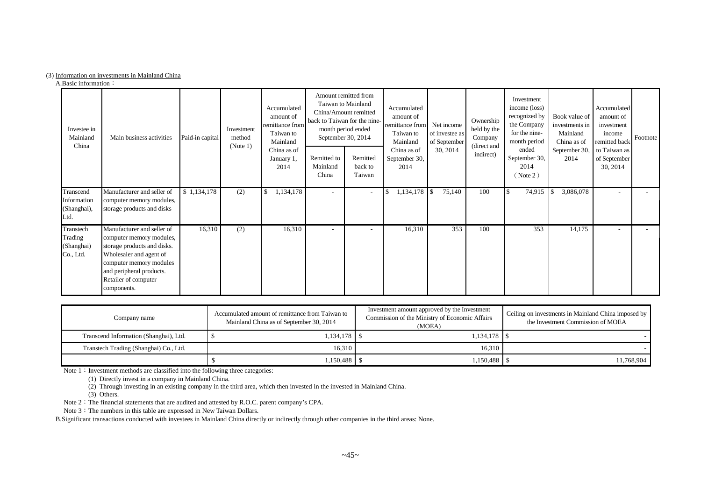### (3) Information on investments in Mainland China

A.Basic information:

| Investee in<br>Mainland<br>China                | Main business activities                                                                                                                                                                                       | Paid-in capital | Investment<br>method<br>(Note 1) | Accumulated<br>amount of<br>remittance from<br>Taiwan to<br>Mainland<br>China as of<br>January 1,<br>2014 | back to Taiwan for the nine-<br>September 30, 2014<br>Remitted to<br>Mainland<br>China | Amount remitted from<br>Taiwan to Mainland<br>China/Amount remitted<br>month period ended<br>Remitted<br>back to<br>Taiwan | Accumulated<br>amount of<br>remittance from<br>Taiwan to<br>Mainland<br>China as of<br>September 30,<br>2014 | Net income<br>of investee as<br>of September<br>30, 2014 | Ownership<br>held by the<br>Company<br>(direct and<br>indirect) | Investment<br>income (loss)<br>recognized by<br>the Company<br>for the nine-<br>month period<br>ended<br>September 30,<br>2014<br>(Note 2) | Book value of<br>investments in<br>Mainland<br>China as of<br>September 30,<br>2014 | Accumulated<br>amount of<br>investment<br>income<br>remitted back<br>to Taiwan as<br>of September<br>30, 2014 | Footnote |
|-------------------------------------------------|----------------------------------------------------------------------------------------------------------------------------------------------------------------------------------------------------------------|-----------------|----------------------------------|-----------------------------------------------------------------------------------------------------------|----------------------------------------------------------------------------------------|----------------------------------------------------------------------------------------------------------------------------|--------------------------------------------------------------------------------------------------------------|----------------------------------------------------------|-----------------------------------------------------------------|--------------------------------------------------------------------------------------------------------------------------------------------|-------------------------------------------------------------------------------------|---------------------------------------------------------------------------------------------------------------|----------|
| Transcend<br>Information<br>(Shanghai),<br>Ltd. | Manufacturer and seller of<br>computer memory modules,<br>storage products and disks                                                                                                                           | \$1,134,178     | (2)                              | 1,134,178                                                                                                 | $\overline{\phantom{0}}$                                                               | $\overline{\phantom{a}}$                                                                                                   | 1,134,178                                                                                                    | 75,140<br>l\$                                            | 100                                                             | 74,915                                                                                                                                     | 3,086,078                                                                           |                                                                                                               |          |
| Transtech<br>Trading<br>(Shanghai)<br>Co., Ltd. | Manufacturer and seller of<br>computer memory modules,<br>storage products and disks.<br>Wholesaler and agent of<br>computer memory modules<br>and peripheral products.<br>Retailer of computer<br>components. | 16,310          | (2)                              | 16,310                                                                                                    | $\overline{\phantom{a}}$                                                               |                                                                                                                            | 16,310                                                                                                       | 353                                                      | 100                                                             | 353                                                                                                                                        | 14,175                                                                              |                                                                                                               |          |

| Company name                           | Accumulated amount of remittance from Taiwan to<br>Mainland China as of September 30, 2014 | Investment amount approved by the Investment<br>Commission of the Ministry of Economic Affairs<br>(MOEA) | Ceiling on investments in Mainland China imposed by<br>the Investment Commission of MOEA |
|----------------------------------------|--------------------------------------------------------------------------------------------|----------------------------------------------------------------------------------------------------------|------------------------------------------------------------------------------------------|
| Transcend Information (Shanghai), Ltd. | $1,134,178$ \$                                                                             | $1.134.178$ S                                                                                            |                                                                                          |
| Transtech Trading (Shanghai) Co., Ltd. | 16.310                                                                                     | 16.310                                                                                                   |                                                                                          |
|                                        |                                                                                            |                                                                                                          | 1,768,904                                                                                |

Note  $1:$  Investment methods are classified into the following three categories:

(1) Directly invest in a company in Mainland China.

(2) Through investing in an existing company in the third area, which then invested in the invested in Mainland China.

(3) Others.

Note 2: The financial statements that are audited and attested by R.O.C. parent company's CPA.

Note 3: The numbers in this table are expressed in New Taiwan Dollars.

B.Significant transactions conducted with investees in Mainland China directly or indirectly through other companies in the third areas: None.